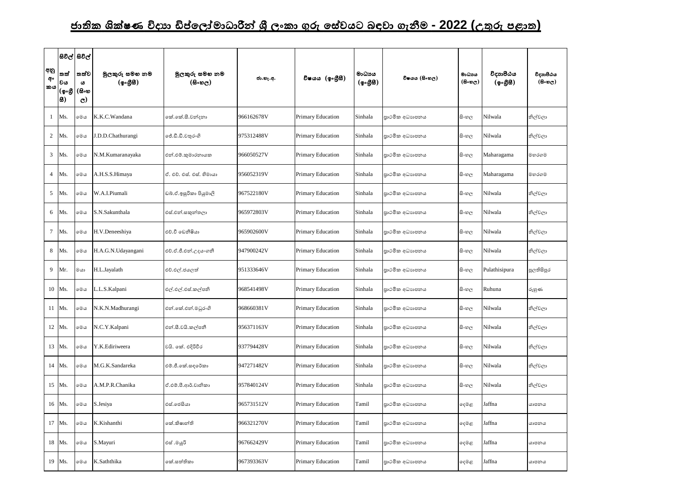## <u>ජාතික ශික්ෂණ විදාහ ඩිප්ලෝමාධාරීන් ශී ලංකා ගුරු සේවයට බඳවා ගැනීම - 2022 (උතුරු පළාත)</u>

| අනු<br>අං<br>කය | සිවිල් සිවිල්<br>lතත්<br> වය<br> (စွႉစ္သံ<br> 8) | තත්ව<br>ය<br>(සිංහ<br>$\mathbf{C}$ | මූලකුරු සමහ නම<br>(ඉංගීසි) | මූලකුරු සමහ නම<br>$(B \circ \mathfrak{v}_C)$ | ජා.හැ.අ.   | විෂයය (ඉංගීුසී)          | මාධායය<br>$(\phi \circ \mathcal{B} \mathcal{B})$ | විෂයය (සිංහල)  | මාධාය<br>$($ සිංහල) | විදාහපීඨය<br>$({\bf 2} \cdot {\bf 3} \cdot {\bf 6})$ | විදාහපීඨය<br>(6.5) |
|-----------------|--------------------------------------------------|------------------------------------|----------------------------|----------------------------------------------|------------|--------------------------|--------------------------------------------------|----------------|---------------------|------------------------------------------------------|--------------------|
|                 | Ms.                                              | මෙය                                | K.K.C.Wandana              | කේ.කේ.සී.වන්දනා                              | 966162678V | <b>Primary Education</b> | Sinhala                                          | පාථමික අධාහපනය | සි∘හල               | Nilwala                                              | නිල්වලා            |
| $\overline{2}$  | Ms.                                              | මෙය                                | J.D.D.Chathurangi          | ්රී.ඩී.ඩී.චතුරංගි                            | 975312488V | <b>Primary Education</b> | Sinhala                                          | පාථමික අධාහපනය | සි∘හල               | Nilwala                                              | නිල්වලා            |
|                 | $3$ Ms.                                          | මෙය                                | N.M.Kumaranayaka           | එන්.එම්.කුමාරනායක                            | 966050527V | <b>Primary Education</b> | Sinhala                                          | පාථමික අධාහපනය | සි∘හල               | Maharagama                                           | මහරගම              |
| $\overline{4}$  | Ms.                                              | මෙය                                | A.H.S.S.Himaya             | ඒ. එච්. එස්. එස්. හිමායා                     | 956052319V | Primary Education        | Sinhala                                          | පාථමික අධාහපනය | සි∘හල               | Maharagama                                           | මහරගම              |
| 5               | Ms.                                              | මෙය                                | W.A.I.Piumali              | ඩබ්.ඒ.ඉසුරිකා පියුමාලි                       | 967522180V | Primary Education        | Sinhala                                          | පාථමික අධාහපනය | සි∘හල               | Nilwala                                              | නිල්වලා            |
| 6               | Ms.                                              | මෙය                                | S.N.Sakunthala             | එස්.එන්.සකුන්තලා                             | 965972803V | <b>Primary Education</b> | Sinhala                                          | පාථමික අධාහපනය | සි∘හල               | Nilwala                                              | නිල්වලා            |
|                 | 7 Ms.                                            | මෙය                                | H.V.Deneeshiya             | එච්.වී ඩෙනීෂියා                              | 965902600V | <b>Primary Education</b> | Sinhala                                          | පාථමික අධාහපනය | සි∘හල               | Nilwala                                              | නිල්වලා            |
| 8               | Ms.                                              | මෙය                                | H.A.G.N.Udayangani         | එච්.ඒ.ජී.එන්.උදයංගනී                         | 947900242V | <b>Primary Education</b> | Sinhala                                          | පාථමික අධාහපනය | සි∘හල               | Nilwala                                              | නිල්වලා            |
|                 | 9 Mr.                                            | මයා                                | H.L.Jayalath               | එච්.එල්.ජයලත්                                | 951333646V | Primary Education        | Sinhala                                          | පාථමික අධාහපනය | සි∘හල               | Pulathisipura                                        | පුලතිසිපුර         |
|                 | 10   Ms.                                         | මෙය                                | L.L.S. Kalpani             | එල්.එල්.එස්.කල්පනි                           | 968541498V | Primary Education        | Sinhala                                          | පාථමික අධාහපනය | සි∘හල               | Ruhuna                                               | රුහුණ              |
|                 | 11 Ms.                                           | මෙය                                | N.K.N.Madhurangi           | එන්.කේ.එන්.මධුරංගි                           | 968660381V | <b>Primary Education</b> | Sinhala                                          | පාථමික අධාහපනය | සි∘හල               | Nilwala                                              | නිල්වලා            |
|                 | 12 Ms.                                           | මෙය                                | N.C.Y.Kalpani              | එන්.සී.වයි.කල්පනී                            | 956371163V | Primary Education        | Sinhala                                          | පාථමික අධාහපනය | සි∘හල               | Nilwala                                              | නිල්වලා            |
|                 | 13 Ms.                                           | මෙය                                | Y.K.Ediriweera             | වයි. කේ. එදිරිවීර                            | 937794428V | Primary Education        | Sinhala                                          | පාථමික අධාහපනය | සි∘හල               | Nilwala                                              | නිල්වලා            |
|                 | 14 Ms.                                           | මෙය                                | M.G.K.Sandareka            | එම්.ජී.කේ.සඳරේකා                             | 947271482V | Primary Education        | Sinhala                                          | පාථමික අධාහපනය | සි∘හල               | Nilwala                                              | නිල්වලා            |
|                 | 15   Ms.                                         | මෙය                                | A.M.P.R.Chanika            | ඒ.එම්.පී.ආර්.චානිකා                          | 957840124V | <b>Primary Education</b> | Sinhala                                          | පාථමික අධාහපනය | සිංහල               | Nilwala                                              | නිල්වලා            |
|                 | 16   Ms.                                         | මෙය                                | S.Jesiya                   | එස්.ජෙසියා                                   | 965731512V | Primary Education        | Tamil                                            | පාථමික අධාහපනය | දෙමළ                | Jaffna                                               | යාපනය              |
|                 | 17 Ms.                                           | මෙය                                | K.Kishanthi                | කේ.කිෂාන්ති                                  | 966321270V | Primary Education        | Tamil                                            | පාථමික අධාහපනය | දෙමළ                | Jaffna                                               | යාපනය              |
|                 | 18 Ms.                                           | මෙය                                | S.Mayuri                   | එස් .මයූරි                                   | 967662429V | Primary Education        | Tamil                                            | පාථමික අධාහපනය | දෙමළ                | Jaffna                                               | යාපනය              |
|                 | 19   Ms.                                         | මෙය                                | K.Saththika                | කේ.සත්තිකා                                   | 967393363V | Primary Education        | Tamil                                            | පාථමික අධාහපනය | ඈමළ                 | Jaffna                                               | යාපනය              |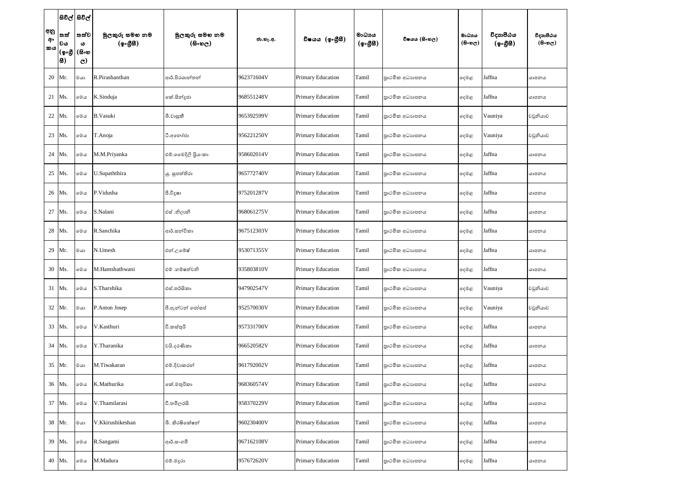|                 |                               | සිවිල් සිවිල්                                |                            |                                        |            |                   |                                                    |                |                               |                       |                                   |
|-----------------|-------------------------------|----------------------------------------------|----------------------------|----------------------------------------|------------|-------------------|----------------------------------------------------|----------------|-------------------------------|-----------------------|-----------------------------------|
| අනු<br>අං<br>කය | තත්<br> වය<br> (စ့•စ္တ<br> 8) | ්තත්ව ,<br>$\omega$<br>(සිංහ<br>$\mathbf{C}$ | මූලකුරු සමහ නම<br>(ඉංගීසි) | මූලකුරු සමහ නම<br>$(B \circ \omega_C)$ | ජා.හැ.අ.   | විෂයය (ඉංගීුසි)   | මාධායෙ<br>$({\cal Q} \circ \mathcal{B} \boxtimes)$ | විෂයය (සිංහල)  | මාධාය<br>$(B \circ \omega_C)$ | විදාහපීඨය<br>(ඉංගීසී) | විදාහපීඨය<br>$(B \circ \omega_C)$ |
|                 | 20 Mr.                        | මයා                                          | R.Pirashanthan             | ආර්.පිරශාන්තන්                         | 962371604V | Primary Education | Tamil                                              | පාථමික අධාහපනය | දෙමළ                          | Jaffna                | යාපනය                             |
| 21 Ms.          |                               | මෙය                                          | K.Sinduja                  | කේ.සින්දූජා                            | 968551248V | Primary Education | Tamil                                              | පාථමික අධාහපනය | දෙමළ                          | Jaffna                | යාපනය                             |
|                 | 22 Ms.                        | මෙය                                          | <b>B.Vasuki</b>            | බී.වාසුකී                              | 965392599V | Primary Education | Tamil                                              | පාථමික අධාහපනය | දෙමළ                          | Vauniya               | වවුනියාව                          |
|                 | 23 Ms.                        | මෙය                                          | T.Anoja                    | ටී.අතෝජා                               | 956221250V | Primary Education | Tamil                                              | පාථමික අධාහපනය | දෙමළ                          | Vauniya               | වවුනියාව                          |
|                 | 24 Ms.                        | මෙය                                          | M.M.Priyanka               | එම්.මෛදිලි පියංකා                      | 958602014V | Primary Education | Tamil                                              | පාථමික අධාහපනය | දෙමළ                          | Jaffna                | යාපනය                             |
|                 | 25   Ms.                      | මෙය                                          | U.Supaththira              | යු. සුපත්තිරා                          | 965772740V | Primary Education | Tamil                                              | පාථමික අධාහපනය | දෙමළ                          | Jaffna                | යාපනය                             |
|                 | 26 Ms.                        | මෙය                                          | P.Vidusha                  | පී.විදූෂා                              | 975201287V | Primary Education | Tamil                                              | පාථමික අධාහපනය | දෙමළ                          | Jaffna                | යාපනය                             |
|                 | 27 Ms.                        | මෙය                                          | S.Nalani                   | එස් .නිලානි                            | 968061275V | Primary Education | Tamil                                              | පාථමික අධාහපනය | දෙමළ                          | Jaffna                | යාපනය                             |
|                 | 28 Ms.                        | මෙය                                          | R.Sanchika                 | ආර්.සන්චිකා                            | 967512303V | Primary Education | Tamil                                              | පාථමික අධාහපනය | දෙමළ                          | Jaffna                | යාපනය                             |
|                 | 29 Mr.                        | මයා                                          | N.Umesh                    | එන්.උමේෂ්                              | 953071355V | Primary Education | Tamil                                              | පාථමික අධාහපනය | දෙමළ                          | Jaffna                | යාපනය                             |
|                 | 30 Ms.                        | මෙය                                          | M.Hamshathwani             | එම් .හම්ෂත්වනි                         | 935803810V | Primary Education | Tamil                                              | පාථමික අධාහපනය | දෙමළ                          | Jaffna                | යාපනය                             |
|                 | 31 Ms.                        | මෙය                                          | S.Tharshika                | එස්.තර්සිකා                            | 947902547V | Primary Education | Tamil                                              | පාථමික අධාහපනය | දෙමළ                          | Vauniya               | වවුනියාව                          |
|                 | 32 Mr.                        | මයා                                          | P.Anton Josep              | පී.ඇන්ටන් ජෝසප්                        | 952570030V | Primary Education | Tamil                                              | පාථමික අධාහපනය | දෙමළ                          | Vauniya               | වවුනියාව                          |
|                 | 33 Ms.                        | මෙය                                          | V.Kasthuri                 | වී.කස්තුරි                             | 957331700V | Primary Education | Tamil                                              | පාථමික අධාහපනය | දෙමළ                          | Jaffna                | යාපනය                             |
|                 | 34 Ms.                        | මෙය                                          | Y.Tharanika                | වයි.දරණිකා                             | 966520582V | Primary Education | Tamil                                              | පාථමික අධාහපනය | දෙමළ                          | Jaffna                | යාපනය                             |
|                 | 35 Mr.                        | $@$ යා                                       | M.Tiwakaran                | එම්.දිවාකරන්                           | 961792002V | Primary Education | Tamil                                              | පාථමික අධාහපනය | දෙමළ                          | Jaffna                | යාපනය                             |
|                 | 36 Ms.                        | මෙය                                          | K.Mathurika                | කේ.මතුරිකා                             | 968360574V | Primary Education | Tamil                                              | පාථමික අධාහපනය | දෙමළ                          | Jaffna                | යාපනය                             |
|                 | 37 Ms.                        | මෙය                                          | V.Thamilarasi              | වී.තමිලරසි                             | 958370229V | Primary Education | Tamil                                              | පාථමික අධාහපනය | දෙමළ                          | Jaffna                | යාපනය                             |
|                 | 38 Mr.                        | මයා                                          | V.Kkirushikeshan           | බී. කිරෂිංක්ෂන්                        | 960230400V | Primary Education | Tamil                                              | පාථමික අධාහපනය | දෙමළ                          | Jaffna                | යාපනය                             |
|                 | 39 Ms.                        | මෙය                                          | R.Sangami                  | ආර්.සංගමි                              | 967162108V | Primary Education | Tamil                                              | පාථමික අධාහපනය | දෙමළ                          | Jaffna                | යාපනය                             |
|                 | 40 Ms.                        | මෙය                                          | M.Madura                   | එම්.මදුරා                              | 957672620V | Primary Education | Tamil                                              | පාථමික අධාහපනය | ඈමළ                           | Jaffna                | යාපනය                             |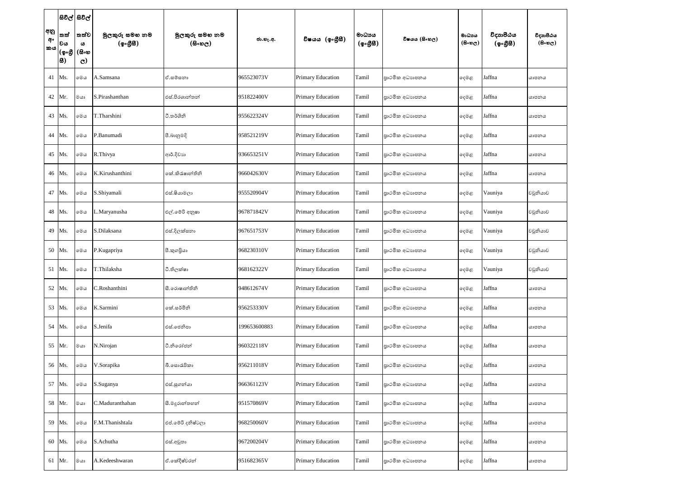|                 | සිවිල් සිවිල්                               |                                    |                            |                                              |              |                   |                                                  |                |                     |                       |                                   |
|-----------------|---------------------------------------------|------------------------------------|----------------------------|----------------------------------------------|--------------|-------------------|--------------------------------------------------|----------------|---------------------|-----------------------|-----------------------------------|
| අනු<br>අං<br>කය | තත්<br> වය<br> (စွ <sub>ိ</sub> ပ္တိ<br> 8) | තත්ව<br>ය<br>(සිංහ<br>$\mathbf{C}$ | මූලකුරු සමහ නම<br>(ඉංගීසි) | මූලකුරු සමහ නම<br>$(B \circ \mathfrak{v}_C)$ | ජා.හැ.අ.     | විෂයය (ඉංගුිසි)   | මාධායය<br>$(\phi \circ \mathcal{B} \mathcal{B})$ | විෂයය (සිංහල)  | මාධාය<br>$($ සිංහල) | විදාහපීඨය<br>(ඉංගීසී) | විදාහපීඨය<br>$(B \circ \omega_C)$ |
|                 | 41 Ms.                                      | මෙය                                | A.Samsana                  | ඒ.සමසනා                                      | 965523073V   | Primary Education | Tamil                                            | පාථමික අධාහපනය | දෙමළ                | Jaffna                | යාපනය                             |
|                 | 42 Mr.                                      | මයා                                | S.Pirashanthan             | එස්.පිරශාන්තන්                               | 951822400V   | Primary Education | Tamil                                            | පාථමික අධාහපනය | දෙමළ                | Jaffna                | යාපනය                             |
|                 | 43 Ms.                                      | මෙය                                | T.Tharshini                | ටී.තර්ශිනි                                   | 955622324V   | Primary Education | Tamil                                            | පාථමික අධාහපනය | දෙමළ                | Jaffna                | යාපනය                             |
|                 | 44 Ms.                                      | මෙය                                | P.Banumadi                 | පී.බානුමදි                                   | 958521219V   | Primary Education | Tamil                                            | පාථමික අධාහපනය | දෙමළ                | Jaffna                | යාපනය                             |
|                 | 45 Ms.                                      | මෙය                                | R.Thivya                   | ආර්.දිවාහ                                    | 936653251V   | Primary Education | Tamil                                            | පාථමික අධාහපනය | දෙමළ                | Jaffna                | යාපනය                             |
|                 | 46 Ms.                                      | මෙය                                | K.Kirushanthini            | කේ.කිරැෂාන්තිනි                              | 966042630V   | Primary Education | Tamil                                            | පාථමික අධාහපනය | දෙමළ                | Jaffna                | යාපනය                             |
|                 | 47 Ms.                                      | මෙය                                | S.Shiyamali                | එස්.ෂියාමලා                                  | 955520904V   | Primary Education | Tamil                                            | පාථමික අධාහපනය | දෙමළ                | Vauniya               | වවුනියාව                          |
|                 | 48 Ms.                                      | මෙය                                | L.Maryanusha               | එල්.මේරි අනුෂා                               | 967871842V   | Primary Education | Tamil                                            | පාථමික අධාහපනය | දෙමළ                | Vauniya               | වවුනියාව                          |
|                 | 49 Ms.                                      | මෙය                                | S.Dilaksana                | එස්.දිලක්සනා                                 | 967651753V   | Primary Education | Tamil                                            | පාථමික අධාහපනය | දෙමළ                | Vauniya               | වවුනියාව                          |
|                 | 50 Ms.                                      | මෙය                                | P.Kugapriya                | පී.කුගපියා                                   | 968230310V   | Primary Education | Tamil                                            | පාථමික අධාහපනය | දෙමළ                | Vauniya               | වවුනියාව                          |
|                 | 51 Ms.                                      | මෙය                                | T.Thilaksha                | ටී.තිලක්ෂා                                   | 968162322V   | Primary Education | Tamil                                            | පාථමික අධාහපනය | දෙමළ                | Vauniya               | වවුනියාව                          |
|                 | 52 Ms.                                      | මෙය                                | C.Roshanthini              | සී.රොෂාන්තිනි                                | 948612674V   | Primary Education | Tamil                                            | පාථමික අධාහපනය | දෙමළ                | Jaffna                | යාපනය                             |
|                 | 53 Ms.                                      | මෙය                                | K.Sarmini                  | කේ.සර්මිනි                                   | 956253330V   | Primary Education | Tamil                                            | පාථමික අධාහපනය | දෙමළ                | Jaffna                | යාපනය                             |
|                 | 54 Ms.                                      | මෙය                                | S.Jenifa                   | එස්.ජෙනිපා                                   | 199653600883 | Primary Education | Tamil                                            | පාථමික අධාහපනය | දෙමළ                | Jaffna                | යාපනය                             |
|                 | 55 Mr.                                      | මයා                                | N.Nirojan                  | ටී.නිරෝජන්                                   | 960322118V   | Primary Education | Tamil                                            | පාථමික අධාහපනය | දෙමළ                | Jaffna                | යාපනය                             |
|                 | 56 Ms.                                      | $\circ\circ\circ$                  | V.Sorapika                 | බී.සොරැපිකා                                  | 956211018V   | Primary Education | Tamil                                            | පාථමික අධාහපනය | දෙමළ                | Jaffna                | යාපනය                             |
|                 | 57 Ms.                                      | මෙය                                | S.Suganya                  | එස්.සුගන්යා                                  | 966361123V   | Primary Education | Tamil                                            | පාථමික අධාහපනය | දෙමළ                | Jaffna                | යාපනය                             |
|                 | 58 Mr.                                      | මයා                                | C.Maduranthahan            | සී.මදුරාන්තහන්                               | 951570869V   | Primary Education | Tamil                                            | පාථමික අධාහපනය | දෙමළ                | Jaffna                | යාපනය                             |
|                 | 59 Ms.                                      | මෙය                                | F.M.Thanishtala            | එප්.මේරි දනිෂ්ටලා                            | 968250060V   | Primary Education | Tamil                                            | පාථමික අධාහපනය | ඈමළ                 | Jaffna                | යාපනය                             |
|                 | 60 Ms.                                      | මෙය                                | S.Achutha                  | එස්.අවුතා                                    | 967200204V   | Primary Education | Tamil                                            | පාථමික අධාහපනය | දෙමළ                | Jaffna                | යාපනය                             |
|                 | 61 Mr.                                      | මයා                                | A.Kedeeshwaran             | ඒ.කේදීෂ්වරන්                                 | 951682365V   | Primary Education | Tamil                                            | පාථමික අධාහපනය | දෙමළ                | Jaffna                | යාපනය                             |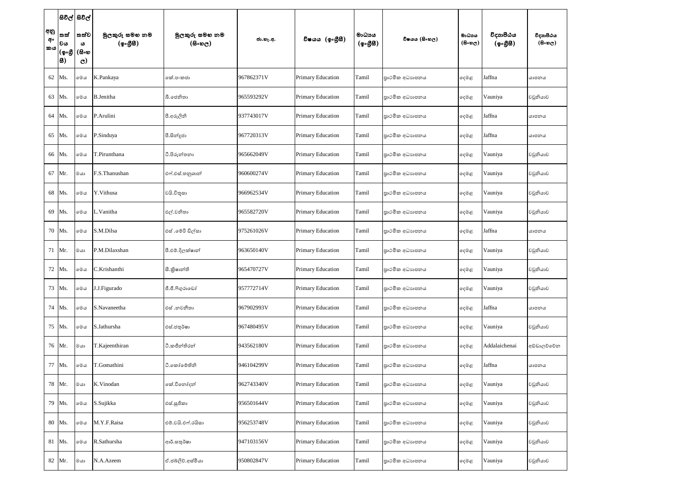|                 |                                              | සවල් සවල්                           |                            |                                        |            |                          |                    |                 |                               |                       |                            |
|-----------------|----------------------------------------------|-------------------------------------|----------------------------|----------------------------------------|------------|--------------------------|--------------------|-----------------|-------------------------------|-----------------------|----------------------------|
| අනු<br>අං<br>කය | තත්<br> වය<br> (စွ <sub>ိ</sub> ပ္တိ<br> සි) | තත්ව <br>ය<br>(සිංහ<br>$\mathbf{C}$ | මූලකුරු සමහ නම<br>(ඉංගීසි) | මුලකුරු සමහ නම<br>$(B \circ \omega_C)$ | ජා.හැ.අ.   | විෂයය (ඉංගීසී)           | මාධායය<br>(ඉංගීසි) | විෂයය (සිංහල)   | මාධාය<br>$(B \circ \omega_C)$ | විදාහපීඨය<br>(ඉංගීසී) | විදාහපීඨය<br>$($ සිංහල $)$ |
|                 | 62 Ms.                                       | මෙය                                 | K.Pankaya                  | ෧ක්.පංකජා                              | 967862371V | Primary Education        | Tamil              | පාථමික අධාහපනය  | දෙමළ                          | Jaffna                | යාපනය                      |
|                 | 63   Ms.                                     | මෙය                                 | <b>B.Jenitha</b>           | බී.ජෙනිතා                              | 965593292V | <b>Primary Education</b> | Tamil              | පාථමික අධාහපනය  | දෙමළ                          | Vauniya               | වවුනියාව                   |
|                 | 64 Ms.                                       | මෙය                                 | P.Arulini                  | පී.අරුලිනි                             | 937743017V | Primary Education        | Tamil              | පාථමික අධාහපනය  | දෙමළ                          | Jaffna                | යාපනය                      |
|                 | 65 Ms.                                       | මෙය                                 | P.Sinduya                  | පී.සින්දූජා                            | 967720313V | Primary Education        | Tamil              | පාථමික අධාහපනය  | දෙමළ                          | Jaffna                | යාපනය                      |
|                 | 66 Ms.                                       | මෙය                                 | T.Pirunthana               | ටී.පිරුන්තනා                           | 965662049V | <b>Primary Education</b> | Tamil              | පාථමික අධාහපනය  | දෙමළ                          | Vauniya               | වවුනියාව                   |
|                 | 67 Mr.                                       | $@$ යා                              | F.S.Thanushan              | එෆ්.එස්.තනුශාන්                        | 960600274V | Primary Education        | Tamil              | පාථමික අධාහපනය  | දෙමළ                          | Vauniya               | වවුනියාව                   |
|                 | 68 Ms.                                       | මෙය                                 | Y.Vithusa                  | වයි.විතූසා                             | 966962534V | Primary Education        | Tamil              | පාථමික අධාහපනය  | දෙමළ                          | Vauniya               | වවුනියාව                   |
|                 | 69 Ms.                                       | මෙය                                 | L.Vanitha                  | එල්.වනිතා                              | 965582720V | Primary Education        | Tamil              | පුාථමික අධාහපනය | දෙමළ                          | Vauniya               | වවුනියාව                   |
|                 | 70 Ms.                                       | මෙය                                 | S.M.Dilsa                  | එස් .මේරි ඩිල්සා                       | 975261026V | Primary Education        | Tamil              | පාථමික අධාහපනය  | දෙමළ                          | Jaffna                | යාපනය                      |
|                 | 71 Mr.                                       | මයා                                 | P.M.Dilaxshan              | පී.එම්.දිලක්ෂාන්                       | 963650140V | Primary Education        | Tamil              | පාථමික අධාහපනය  | දෙමළ                          | Vauniya               | වවුනියාව                   |
|                 | 72 Ms.                                       | මෙය                                 | C.Krishanthi               | සී.කිෂාත්ති                            | 965470727V | Primary Education        | Tamil              | පාථමික අධාහපනය  | දෙමළ                          | Vauniya               | වවුනියාව                   |
|                 | 73 Ms.                                       | මෙය                                 | J.J.Figurado               | ජී.ජී.ෆිගුරාඩෝ                         | 957772714V | Primary Education        | Tamil              | පාථමික අධාහපනය  | දෙමළ                          | Vauniya               | වවුනියාව                   |
|                 | 74 Ms.                                       | මෙය                                 | S.Navaneetha               | එස් .නවනීතා                            | 967902993V | Primary Education        | Tamil              | පාථමික අධාහපනය  | දෙමළ                          | Jaffna                | යාපනය                      |
|                 | 75 Ms.                                       | මෙය                                 | S.Jathursha                | එස්.ජතුර්ෂා                            | 967480495V | Primary Education        | Tamil              | පාථමික අධාහපනය  | දෙමළ                          | Vauniya               | වවුනියාව                   |
|                 | 76 Mr.                                       | $@$ යා                              | T.Kajeenthiran             | ටී.කජීන්තිරන්                          | 943562180V | Primary Education        | Tamil              | පාථමික අධාහපනය  | දෙමළ                          | Addalaichenai         | අඩ්ඩාලච්චේන                |
|                 | 77 Ms.                                       | මෙය                                 | T.Gomathini                | ටී.කෝමෙතිනි                            | 946104299V | Primary Education        | Tamil              | පාථමික අධාහපනය  | දෙමළ                          | Jaffna                | යාපනය                      |
|                 | 78 Mr.                                       | මයා                                 | K.Vinodan                  | කේ.විනෝදන්                             | 962743340V | Primary Education        | Tamil              | පාථමික අධාහපනය  | දෙමළ                          | Vauniya               | වවුනියාව                   |
|                 | 79 Ms.                                       | මෙය                                 | S.Sujikka                  | එස්.සුජිකා                             | 956501644V | Primary Education        | Tamil              | පාථමික අධාහපනය  | දෙමළ                          | Vauniya               | වවුනියාව                   |
|                 | 80 Ms.                                       | මෙය                                 | M.Y.F.Raisa                | එම්.වයි.එෆ්.රයිසා                      | 956253748V | Primary Education        | Tamil              | පුාථමික අධාහපනය | දෙමළ                          | Vauniya               | වවුනියාව                   |
|                 | 81 Ms.                                       | මෙය                                 | R.Sathursha                | ආර්.සතුර්ෂා                            | 947103156V | Primary Education        | Tamil              | පාථමික අධාහපනය  | දෙමළ                          | Vauniya               | වවුනියාව                   |
|                 | 82 Mr.                                       | මයා                                 | N.A.Azeem                  | ඒ.ජබ්ලිව්.අස්මියා                      | 950802847V | Primary Education        | Tamil              | පාථමික අධාහපනය  | දෙමළ                          | Vauniya               | වවුනියාව                   |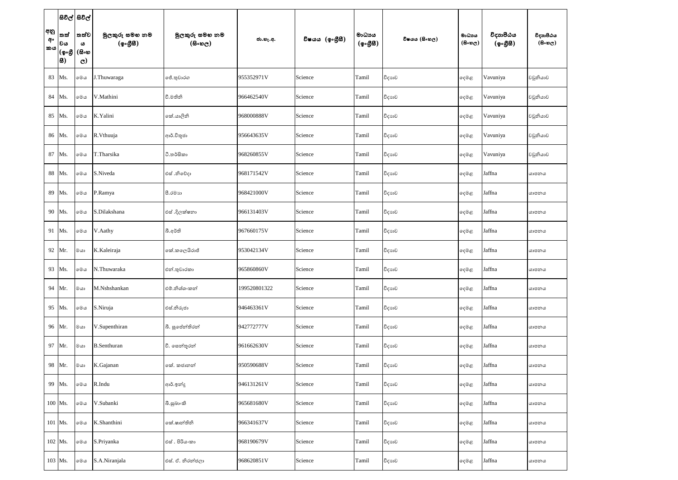|                 |                               | සිවිල් සිවිල්                      |                            |                                              |              |                 |                                                  |               |                                     |                       |                                   |
|-----------------|-------------------------------|------------------------------------|----------------------------|----------------------------------------------|--------------|-----------------|--------------------------------------------------|---------------|-------------------------------------|-----------------------|-----------------------------------|
| අනු<br>අං<br>කය | තත්<br> වය<br> (စွႉစ္တ<br> 8) | තත්ව<br>ය<br>(සිංහ<br>$\mathbf{C}$ | මුලකුරු සමහ නම<br>(ඉංගීසී) | මුලකුරු සමහ නම<br>$(B \circ \mathfrak{v}_C)$ | ජා.හැ.අ.     | විෂයය (ඉංගීුසි) | මාධායය<br>$(\phi \circ \mathcal{B} \mathcal{B})$ | විෂයය (සිංහල) | මාධාය<br>$(B \circ \mathfrak{v}_C)$ | විදාහපීඨය<br>(ඉංගීසි) | විදාහපීඨය<br>$(B \circ \omega_C)$ |
|                 | 83 Ms.                        | මෙය                                | J.Thuwaraga                | ජේ.තුවාරග                                    | 955352971V   | Science         | Tamil                                            | විදාහව        | ඈමළ                                 | Vavuniya              | වවුනියාව                          |
|                 | 84 Ms.                        | මෙය                                | V.Mathini                  | වී.මතිනි                                     | 966462540V   | Science         | Tamil                                            | විදාහව        | දෙමළ                                | Vavuniya              | වවුනියාව                          |
|                 | 85 Ms.                        | මෙය                                | K.Yalini                   | කේ.යාලිනි                                    | 968000888V   | Science         | Tamil                                            | විදාහව        | දෙමළ                                | Vavuniya              | වවුනියාව                          |
|                 | 86 Ms.                        | මෙය                                | R.Vthuuja                  | ආර්.විතූජා                                   | 956643635V   | Science         | Tamil                                            | විදාහව        | දෙමළ                                | Vavuniya              | වවුනියාව                          |
|                 | 87 Ms.                        | මෙය                                | T.Tharsika                 | ථි.තර්සිකා                                   | 968260855V   | Science         | Tamil                                            | විදාහව        | දෙමළ                                | Vavuniya              | වවුනියාව                          |
|                 | 88 Ms.                        | මෙය                                | S.Niveda                   | එස් .නිවේදා                                  | 968171542V   | Science         | Tamil                                            | විදාහව        | ඈමළ                                 | Jaffna                | යාපනය                             |
|                 | 89 Ms.                        | මෙය                                | P.Ramya                    | පී.රමාහ                                      | 968421000V   | Science         | Tamil                                            | විදාහව        | දෙමළ                                | Jaffna                | යාපනය                             |
|                 | 90 Ms.                        | මෙය                                | S.Dilakshana               | එස් .දිලක්ෂනා                                | 966131403V   | Science         | Tamil                                            | විදාහව        | දෙමළ                                | Jaffna                | යාපනය                             |
|                 | 91   Ms.                      | මෙය                                | V.Aathy                    | බී.අර්ති                                     | 967660175V   | Science         | Tamil                                            | විදාහව        | දෙමළ                                | Jaffna                | යාපනය                             |
|                 | 92 Mr.                        | මයා                                | K.Kaleiraja                | කේ.කලෙයිරාජ්                                 | 953042134V   | Science         | Tamil                                            | විදාහව        | දෙමළ                                | Jaffna                | යාපනය                             |
|                 | 93 Ms.                        | මෙය                                | N.Thuwaraka                | එන්.තුවාරකා                                  | 965860860V   | Science         | Tamil                                            | විදාහව        | ඈමළ                                 | Jaffna                | යාපනය                             |
|                 | 94 Mr.                        | මයා                                | M.Nshshankan               | එම්.නිශ්ශංකන්                                | 199520801322 | Science         | Tamil                                            | විදාහව        | දෙමළ                                | Jaffna                | යාපනය                             |
|                 | 95 Ms.                        | $\circ\circ\circ$                  | S.Niruja                   | එස්.නිරුජා                                   | 946463361V   | Science         | Tamil                                            | විදාහව        | දෙමළ                                | Jaffna                | යාපනය                             |
|                 | 96 Mr.                        | මයා                                | V.Supenthiran              | බී. සුපේන්තිරන්                              | 942772777V   | Science         | Tamil                                            | විදාහව        | දෙමළ                                | Jaffna                | යාපනය                             |
|                 | 97 Mr.                        | මයා                                | <b>B.Senthuran</b>         | වී. සෙන්තූරන්                                | 961662630V   | Science         | Tamil                                            | විදාහව        | දෙමළ                                | Jaffna                | යාපනය                             |
|                 | 98 Mr.                        | මයා                                | K.Gajanan                  | කේ. කජානන්                                   | 950590688V   | Science         | Tamil                                            | විදාහව        | ෫෧෫                                 | Jaffna                | යාපනය                             |
|                 | 99 Ms.                        | මෙය                                | R.Indu                     | ආර්.ඉන්දු                                    | 946131261V   | Science         | Tamil                                            | විදාහව        | ෫෧෫                                 | Jaffna                | යාපනය                             |
|                 | $100$ Ms.                     | මෙය                                | V.Subanki                  | බී.සුබාංකි                                   | 965681680V   | Science         | Tamil                                            | විදාහව        | ෫෧෫                                 | Jaffna                | යාපනය                             |
|                 | 101 Ms.                       | මෙය                                | K.Shanthini                | කේ.ෂාන්තිනි                                  | 966341637V   | Science         | Tamil                                            | විදාහව        | දෙමළ                                | Jaffna                | යාපනය                             |
|                 | 102   Ms.                     | $\circ\circ\circ$                  | S.Priyanka                 | එස් . පිරියංකා                               | 968190679V   | Science         | Tamil                                            | විදාහව        | දෙමළ                                | Jaffna                | යාපනය                             |
|                 | 103 Ms.                       | මෙය                                | S.A.Niranjala              | එස්. ඒ. නිරත්ජලා                             | 968620851V   | Science         | Tamil                                            | විදාහව        | ඈමළ                                 | Jaffna                | යාපනය                             |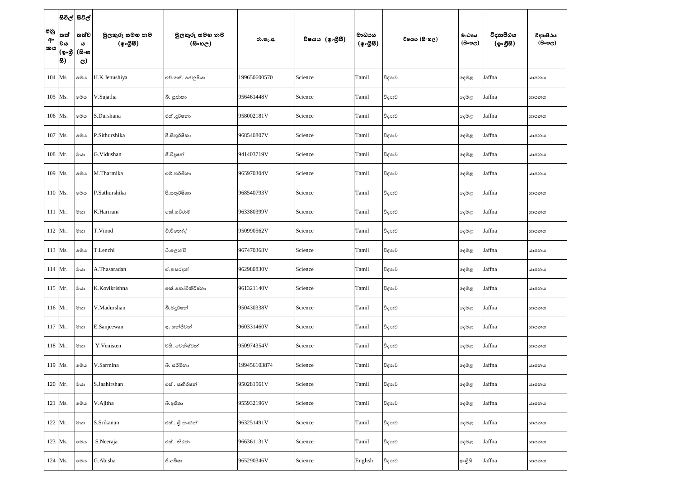|                 |                                             | සිවිල් සිවිල්                      |                            |                              |              |                 |                                                  |               |                         |                       |                                         |
|-----------------|---------------------------------------------|------------------------------------|----------------------------|------------------------------|--------------|-----------------|--------------------------------------------------|---------------|-------------------------|-----------------------|-----------------------------------------|
| අනු<br>අං<br>කය | තත්<br> වය<br> (စွ <sub>ိ</sub> ပ္တိ<br> 8) | තත්ව<br>ය<br>(සිංහ<br>$\mathbf{C}$ | මුලකුරු සමහ නම<br>(ඉංගීසි) | මුලකුරු සමහ නම<br>$($ සිංහල) | ජා.හැ.අ.     | විෂයය (ඉංගීුසි) | මාධායය<br>$(\phi \circ \mathcal{B} \mathcal{B})$ | විෂයය (සිංහල) | මාධාපය<br>$($ සිංහල $)$ | විදාහපීඨය<br>(ඉංගීසී) | විදාහපීඨය<br>$(B \circ \mathfrak{v}_C)$ |
|                 | $104$ Ms.                                   | මෙය                                | H.K.Jenushiya              | එච්.කේ. ජෙනුෂියා             | 199650600570 | Science         | Tamil                                            | විදාහව        | දෙමළ                    | Jaffna                | යාපනය                                   |
|                 | 105 Ms.                                     | මෙය                                | V.Sujatha                  | බී. සුජාතා                   | 956461448V   | Science         | Tamil                                            | විදාහව        | දෙමළ                    | Jaffna                | යාපනය                                   |
|                 | 106 Ms.                                     | මෙය                                | S.Durshana                 | එස් .දූර්ෂනා                 | 958002181V   | Science         | Tamil                                            | විදාහව        | ඈමළ                     | Jaffna                | යාපනය                                   |
|                 | 107 Ms.                                     | මෙය                                | P.Sithurshika              | පී.සිතුර්ෂිකා                | 968540807V   | Science         | Tamil                                            | විදාහව        | දෙමළ                    | Jaffna                | යාපනය                                   |
|                 | 108 Mr.                                     | $@$ යා                             | G.Vidushan                 | ජී.විදූෂන්                   | 941403719V   | Science         | Tamil                                            | විදාහව        | ඈමළ                     | Jaffna                | යාපනය                                   |
|                 | 109 Ms.                                     | මෙය                                | M.Tharmika                 | එම්.තර්මිකා                  | 965970304V   | Science         | Tamil                                            | විදාහව        | දෙමළ                    | Jaffna                | යාපනය                                   |
|                 | 110 Ms.                                     | මෙය                                | P.Sathurshika              | පී.සතුර්ෂිකා                 | 968540793V   | Science         | Tamil                                            | විදාහව        | දෙමළ                    | Jaffna                | යාපනය                                   |
|                 | 111 Mr.                                     | මයා                                | K.Hariram                  | කේ.හරිරාම්                   | 963380399V   | Science         | Tamil                                            | විදාහව        | දෙමළ                    | Jaffna                | යාපනය                                   |
|                 | $112$ Mr.                                   | මයා                                | T.Vinod                    | ටී.විනෝද්                    | 950990562V   | Science         | Tamil                                            | විදාහව        | ඈමළ                     | Jaffna                | යාපනය                                   |
|                 | 113 Ms.                                     | මෙය                                | T.Lenchi                   | ටී.ලෙන්චි                    | 967470368V   | Science         | Tamil                                            | විදාහව        | දෙමළ                    | Jaffna                | යාපනය                                   |
|                 | $114$ Mr.                                   | මයා                                | A.Thasaradan               | ඒ.තසරදන්                     | 962980830V   | Science         | Tamil                                            | විදාහව        | දෙමළ                    | Jaffna                | යාපනය                                   |
|                 | $115$ Mr.                                   | මයා                                | K.Kovikrishna              | කේ.කෝවිකිරිෂ්නා              | 961321140V   | Science         | Tamil                                            | විදාහව        | දෙමළ                    | Jaffna                | යාපනය                                   |
|                 | $116$ Mr.                                   | මයා                                | V.Madurshan                | බී.මදූර්ෂන්                  | 950430338V   | Science         | Tamil                                            | විදාහව        | දෙමළ                    | Jaffna                | යාපනය                                   |
|                 | $117$ Mr.                                   | මයා                                | E.Sanjeewan                | ඉ. සන්ජීවන්                  | 960331460V   | Science         | Tamil                                            | විදාහව        | දෙමළ                    | Jaffna                | යාපනය                                   |
|                 | $118$ Mr.                                   | මයා                                | Y.Venisten                 | වයි. වෙනිෂ්ටන්               | 950974354V   | Science         | Tamil                                            | විදාහව        | දෙමළ                    | Jaffna                | යාපනය                                   |
|                 | $119$ Ms.                                   | මෙය                                | V.Sarmina                  | බී. සර්මිනා                  | 199456103874 | Science         | Tamil                                            | විදාහව        | දෙමළ                    | Jaffna                | යාපනය                                   |
|                 | $120$ Mr.                                   | මයා                                | S.Jaahirshan               | එස් . ජාහිර්ෂන්              | 950281561V   | Science         | Tamil                                            | විදාහව        | දෙමළ                    | Jaffna                | යාපනය                                   |
|                 | 121 Ms.                                     | මෙය                                | V.Ajitha                   | බී.අජිතා                     | 955932196V   | Science         | Tamil                                            | විදාහව        | ෫ෙළ                     | Jaffna                | යාපනය                                   |
|                 | $122$ Mr.                                   | මයා                                | S.Srikanan                 | එස් . ශූී කණන්               | 963251491V   | Science         | Tamil                                            | විදාහව        | දෙමළ                    | Jaffna                | යාපනය                                   |
|                 | 123 Ms.                                     | මෙය                                | S.Neeraja                  | එස්. නීරජා                   | 966361131V   | Science         | Tamil                                            | විදාහව        | දෙමළ                    | Jaffna                | යාපනය                                   |
|                 | 124 Ms.                                     | මෙය                                | G.Abisha                   | ජි.අබිෂා                     | 965290346V   | Science         | English                                          | විදාහව        | ඉංගීසි                  | Jaffna                | යාපනය                                   |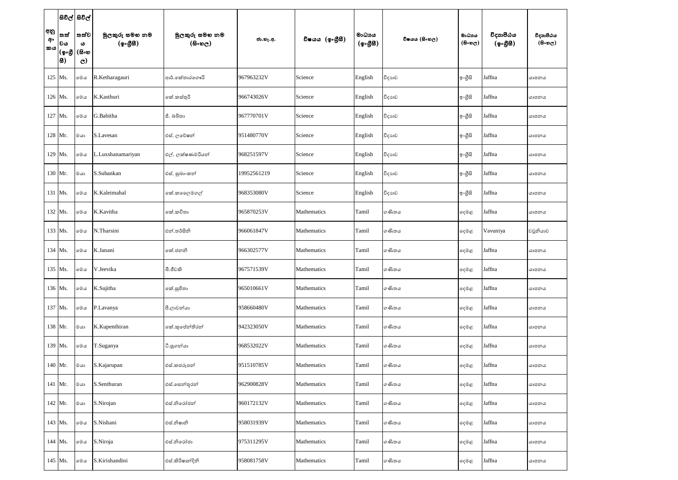|                 |                                                     | සිවිල් සිවිල්                        |                            |                                              |             |                 |                                                  |               |                      |                       |                                         |
|-----------------|-----------------------------------------------------|--------------------------------------|----------------------------|----------------------------------------------|-------------|-----------------|--------------------------------------------------|---------------|----------------------|-----------------------|-----------------------------------------|
| අනු<br>අං<br>කය | <b>'තත්</b><br> වය<br> (စွ <sub>ိ</sub> ပ္တိ<br> 8) | ් තත්ව<br>ය<br>(සිංහ<br>$\mathbf{C}$ | මුලකුරු සමහ නම<br>(ඉංගීසි) | මූලකුරු සමහ නම<br>$(B \circ \mathfrak{v}_C)$ | ජා.හැ.අ.    | විෂයය (ඉංගීුසි) | මාධායය<br>$(\phi \circ \mathcal{B} \mathcal{B})$ | විෂයය (සිංහල) | මාධාපය<br>$($ සිංහල) | විදාහපීඨය<br>(ඉංගීසී) | විදාහපීඨය<br>$(B \circ \mathfrak{v}_C)$ |
|                 | 125 Ms.                                             | මෙය                                  | R.Ketharagauri             | ආර්.කේතාරගෞරි                                | 967963232V  | Science         | English                                          | විදාහව        | ඉංගීසි               | Jaffna                | යාපනය                                   |
|                 | 126 Ms.                                             | මෙය                                  | K.Kasthuri                 | කේ.කස්තුරි                                   | 966743026V  | Science         | English                                          | විදාහව        | ඉංගීසි               | Jaffna                | යාපනය                                   |
|                 | 127   Ms.                                           | මෙය                                  | G.Babitha                  | ජී. බබිතා                                    | 967770701V  | Science         | English                                          | විදාහව        | ඉංගීසි               | Jaffna                | යාපනය                                   |
|                 | 128 Mr.                                             | මයා                                  | S.Lavesan                  | එස්. ලමේෂන්                                  | 951480770V  | Science         | English                                          | විදාහව        | ඉංගුිසි              | Jaffna                | යාපනය                                   |
|                 | $129$ Ms.                                           | මෙය                                  | L.Luxshanamariyan          | එල්. ලක්ෂණමරියන්                             | 968251597V  | Science         | English                                          | විදාහව        | ඉංගීසි               | Jaffna                | යාපනය                                   |
|                 | 130 Mr.                                             | මයා                                  | S.Subankan                 | එස්. සුබාංකන්                                | 19952561219 | Science         | English                                          | විදාහව        | ඉංගීසි               | Jaffna                | යාපනය                                   |
|                 | 131 Ms.                                             | මෙය                                  | K.Kaleimahal               | කේ.කලෙෙමගල්                                  | 968353080V  | Science         | English                                          | විදාහව        | ඉංගීසි               | Jaffna                | යාපනය                                   |
|                 | 132 Ms.                                             | මෙය                                  | K.Kavitha                  | කේ.කවිතා                                     | 965870253V  | Mathematics     | Tamil                                            | ගණිතය         | දෙමළ                 | Jaffna                | යාපනය                                   |
|                 | 133 Ms.                                             | මෙය                                  | N.Tharsini                 | එන්.තර්සිනි                                  | 966061847V  | Mathematics     | Tamil                                            | ගණිතය         | ඈමළ                  | Vavuniya              | වවුනියාව                                |
|                 | 134 Ms.                                             | මෙය                                  | K.Janani                   | කේ.ජනනි                                      | 966302577V  | Mathematics     | Tamil                                            | ගණිතය         | දෙමළ                 | Jaffna                | යාපනය                                   |
|                 | 135 Ms.                                             | මෙය                                  | V.Jeevika                  | බී.ජීවකි                                     | 967571539V  | Mathematics     | Tamil                                            | ගණිතය         | ඈමළ                  | Jaffna                | යාපනය                                   |
|                 | 136 Ms.                                             | මෙය                                  | K.Sujitha                  | කේ.සුජිතා                                    | 965010661V  | Mathematics     | Tamil                                            | ගණිතය         | දෙමළ                 | Jaffna                | යාපනය                                   |
|                 | 137 Ms.                                             | මෙය                                  | P.Lavanya                  | පී.ලාවන්යා                                   | 958660480V  | Mathematics     | Tamil                                            | ගණිතය         | දෙමළ                 | Jaffna                | යාපනය                                   |
|                 | 138 Mr.                                             | මයා                                  | K.Kupenthiran              | කේ.කුසේන්තිරන්                               | 942323050V  | Mathematics     | Tamil                                            | ගණිතය         | දෙමළ                 | Jaffna                | යාපනය                                   |
|                 | 139 Ms.                                             | මෙය                                  | T.Suganya                  | ටී.සුගන්යා                                   | 968532022V  | Mathematics     | Tamil                                            | ගණිතය         | දෙමළ                 | Jaffna                | යාපනය                                   |
|                 | 140 Mr.                                             | $@$ යා                               | S.Kajarupan                | එස්.කජරූපන්                                  | 951510785V  | Mathematics     | Tamil                                            | ගණිතය         | දෙමළ                 | Jaffna                | යාපනය                                   |
|                 | 141 Mr.                                             | මයා                                  | S.Senthuran                | එස්.සෙන්තූරන්                                | 962900828V  | Mathematics     | Tamil                                            | ගණිතය         | දෙමළ                 | Jaffna                | යාපනය                                   |
|                 | 142 Mr.                                             | මයා                                  | S.Nirojan                  | එස්.නිරෝජන්                                  | 960172132V  | Mathematics     | Tamil                                            | ගණිතය         | දෙමළ                 | Jaffna                | යාපනය                                   |
|                 | 143 Ms.                                             | මෙය                                  | S.Nishani                  | එස්.නිෂානි                                   | 958031939V  | Mathematics     | Tamil                                            | ගණිතය         | දෙමළ                 | Jaffna                | යාපනය                                   |
|                 | 144 Ms.                                             | මෙය                                  | S.Niroja                   | එස්.නිරෝජා                                   | 975311295V  | Mathematics     | Tamil                                            | ගණිතය         | දෙමළ                 | Jaffna                | යාපනය                                   |
|                 | 145 Ms.                                             | මෙය                                  | S.Kirishandini             | එස්.කිරිෂාන්දිනි                             | 958081758V  | Mathematics     | Tamil                                            | ගණිතය         | දෙමළ                 | Jaffna                | යාපනය                                   |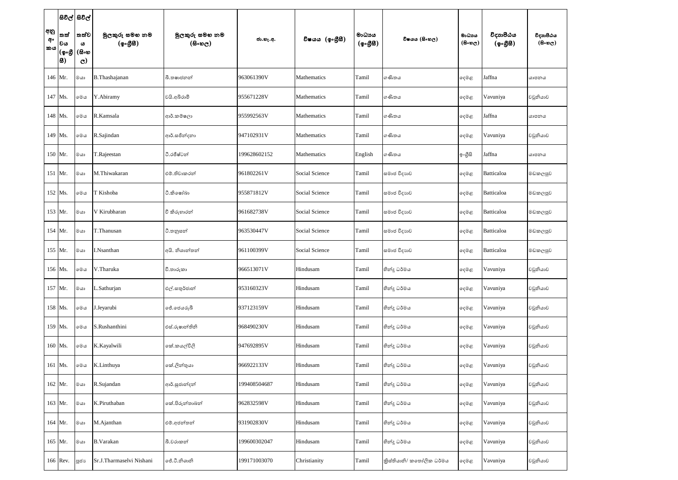|                 |                                        | සිවිල් සිවිල්                      |                            |                                        |              |                |                    |                          |                               |                       |                                         |
|-----------------|----------------------------------------|------------------------------------|----------------------------|----------------------------------------|--------------|----------------|--------------------|--------------------------|-------------------------------|-----------------------|-----------------------------------------|
| අනු<br>අං<br>කය | <b>්තත්</b><br> වය<br> (စ့•စ္တ<br> සි) | තත්ව<br>ය<br>(සිංහ<br>$\mathbf{C}$ | මුලකුරු සමහ නම<br>(ඉංගීසි) | මූලකුරු සමහ නම<br>$(B \circ \omega_C)$ | ජා.හැ.අ.     | විෂයය (ඉංගීසී) | මාධායය<br>(ඉංගීසී) | විෂයය (සිංහල)            | මාධාය<br>$(B \circ \omega_C)$ | විදාහපීඨය<br>(ඉංගීසී) | විදාහපීඨය<br>$(B \circ \mathfrak{v}_C)$ |
|                 | 146 Mr.                                | $@$ යා                             | B.Thashajanan              | බී.තෂාජනන්                             | 963061390V   | Mathematics    | Tamil              | ගණිතය                    | දෙමළ                          | Jaffna                | යාපනය                                   |
|                 | 147 Ms.                                | මෙය                                | Y.Abiramy                  | වයි.අබිරාමි                            | 955671228V   | Mathematics    | Tamil              | ගණිතය                    | දෙමළ                          | Vavuniya              | වවුනියාව                                |
|                 | 148 Ms.                                | මෙය                                | R.Kamsala                  | ආර්.කම්ෂලා                             | 955992563V   | Mathematics    | Tamil              | ගණිතය                    | දෙමළ                          | Jaffna                | යාපනය                                   |
|                 | 149 Ms.                                | මෙය                                | R.Sajindan                 | ආර්.සජින්දනා                           | 947102931V   | Mathematics    | Tamil              | ගණිතය                    | ඈමළ                           | Vavuniya              | වවුනියාව                                |
|                 | 150 Mr.                                | $@$ යා                             | T.Rajeestan                | ටී.රජීෂ්ටන්                            | 199628602152 | Mathematics    | English            | ගණිතය                    | ඉංගීසි                        | Jaffna                | යාපනය                                   |
|                 | 151 Mr.                                | $@$ යා                             | M.Thiwakaran               | එම්.තිවාකරන්                           | 961802261V   | Social Science | Tamil              | සමාජ විදාහව              | දෙමළ                          | Batticaloa            | මඩකලපුව                                 |
|                 | 152 Ms.                                | මෙය                                | T Kishoba                  | ටී.කිෂෝබා                              | 955871812V   | Social Science | Tamil              | සමාජ විදාහව              | දෙමළ                          | Batticaloa            | මඩකලපුව                                 |
|                 | 153 Mr.                                | මයා                                | V Kirubharan               | වී කිරුහාරන්                           | 961682738V   | Social Science | Tamil              | සමාජ විදාහව              | දෙමළ                          | Batticaloa            | මඩකලපුව                                 |
|                 | 154 Mr.                                | මයා                                | T.Thanusan                 | ථි.තනුසන්                              | 963530447V   | Social Science | Tamil              | සමාජ විදාහව              | ඈමළ                           | Batticaloa            | මඩකලපුව                                 |
|                 | 155 Mr.                                | මයා                                | I.Nsanthan                 | අයි. නිශාන්තන්                         | 961100399V   | Social Science | Tamil              | සමාජ විදාහව              | දෙමළ                          | Batticaloa            | මඩකලපුව                                 |
|                 | 156 Ms.                                | මෙය                                | V.Tharuka                  | වී.තාරුකා                              | 966513071V   | Hindusam       | Tamil              | හින්දු ධර්මය             | දෙමළ                          | Vavuniya              | වවුනියාව                                |
|                 | 157 Mr.                                | $^{\circ}$ යා                      | L.Sathurjan                | එල්.සතුර්ජාන්                          | 953160323V   | Hindusam       | Tamil              | හින්දු ධර්මය             | දෙමළ                          | Vavuniya              | වවුනියාව                                |
|                 | 158 Ms.                                | මෙය                                | J.Jeyarubi                 | ජේ.ජෙයරූබී                             | 937123159V   | Hindusam       | Tamil              | හින්දු ධර්මය             | දෙමළ                          | Vavuniya              | වවුනියාව                                |
|                 | 159 Ms.                                | මෙය                                | S.Rushanthini              | එස්.රුෂාන්තිනි                         | 968490230V   | Hindusam       | Tamil              | හින්දු ධර්මය             | ඈමළ                           | Vavuniya              | වවුනියාව                                |
|                 | 160 Ms.                                | මෙය                                | K.Kayalwili                | කේ.කයල්විලි                            | 947692895V   | Hindusam       | Tamil              | හින්දු ධර්මය             | දෙමළ                          | Vavuniya              | වවුනියාව                                |
|                 | 161 Ms.                                | මෙය                                | K.Linthuya                 | කේ.ලින්තුයා                            | 966922133V   | Hindusam       | Tamil              | හින්දු ධර්මය             | දෙමළ                          | Vavuniya              | වවුනියාව                                |
|                 | 162 Mr.                                | මයා                                | R.Sujandan                 | ආර්.සූජාන්දන්                          | 199408504687 | Hindusam       | Tamil              | හින්දු ධර්මය             | දෙමළ                          | Vavuniya              | වවුනියාව                                |
|                 | 163 Mr.                                | මයා                                | K.Piruthaban               | කේ.පිරුන්තාබන්                         | 962832598V   | Hindusam       | Tamil              | හින්දු ධර්මය             | දෙමළ                          | Vavuniya              | වවුනියාව                                |
|                 | 164 Mr.                                | මයා                                | M.Ajanthan                 | එම්.අජන්තන්                            | 931902830V   | Hindusam       | Tamil              | හින්දු ධර්මය             | දෙමළ                          | Vavuniya              | වවුනියාව                                |
|                 | 165 Mr.                                | මයා                                | <b>B.Varakan</b>           | බී.වරාකන්                              | 199600302047 | Hindusam       | Tamil              | හින්දු ධර්මය             | දෙමළ                          | Vavuniya              | වවුනියාව                                |
|                 | 166 Rev.                               | <b>ූ</b> ජා                        | Sr.J.Tharmaselvi Nishani   | ජේ.ටී.නිශානි                           | 199171003070 | Christianity   | Tamil              | කිස්තියානි/ කතෝලික ධර්මය | දෙමළ                          | Vavuniya              | වවුනියාව                                |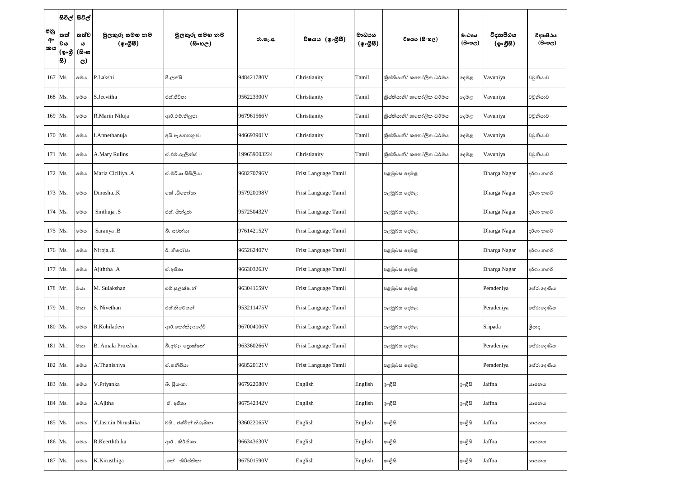|                 |                                 | සිවිල් සිවිල්                       |                            |                                              |              |                      |                                                    |                          |                               |                       |                                   |
|-----------------|---------------------------------|-------------------------------------|----------------------------|----------------------------------------------|--------------|----------------------|----------------------------------------------------|--------------------------|-------------------------------|-----------------------|-----------------------------------|
| අනු<br>අං<br>කය | 'තත්<br> වය<br> (စွ•စ္တိ<br> 8) | තත්ව <br>ය<br>(සිංහ<br>$\mathbf{C}$ | මූලකුරු සමහ නම<br>(ඉංගීසී) | මුලකුරු සමහ නම<br>$(B \circ \mathfrak{v}_C)$ | ජා.හැ.අ.     | විෂයය (ඉංගීුසී)      | මාධායය<br>$({\cal Q} \circ \mathcal{B} \boxtimes)$ | විෂයය (සිංහල)            | මාධාය<br>$(B \circ \omega_C)$ | විදාහපීඨය<br>(ඉංගීසී) | විදාහපීඨය<br>$(B \circ \omega_C)$ |
|                 | 167 Ms.                         | මෙය                                 | P.Lakshi                   | පී.ලක්ෂි                                     | 948421780V   | Christianity         | Tamil                                              | කිස්තියානි/ කතෝලික ධර්මය | දෙමළ                          | Vavuniya              | වවුනියාව                          |
|                 | 168 Ms.                         | මෙය                                 | S.Jeevitha                 | එස්.ජීවිතා                                   | 956223300V   | Christianity         | Tamil                                              | කිස්තියානි/ කතෝලික ධර්මය | දෙමළ                          | Vavuniya              | වවුනියාව                          |
|                 | 169 Ms.                         | මෙය                                 | R.Marin Niluja             | ආර්.එම්.නිලූජා                               | 967961566V   | Christianity         | Tamil                                              | කිස්තියානි/ කතෝලික ධර්මය | දෙමළ                          | Vavuniya              | වවුනියාව                          |
|                 | 170 Ms.                         | මෙය                                 | I.Annethanuja              | අයි.ඇනෙතනුජා                                 | 946693901V   | Christianity         | Tamil                                              | කිස්තියානි/ කතෝලික ධර්මය | දෙමළ                          | Vavuniya              | වවුනියාව                          |
|                 | 171 Ms.                         | මෙය                                 | A.Mary Rulins              | ඒ.එම්.රුලින්ස්                               | 199659003224 | Christianity         | Tamil                                              | කිස්තියානි/ කතෝලික ධර්මය | දෙමළ                          | Vavuniya              | වවුනියාව                          |
|                 | 172 Ms.                         | මෙය                                 | Maria CiciliyaA            | ඒ.මරියා සිසිලියා                             | 968270796V   | Frist Language Tamil |                                                    | පළමුබස දෙමළ              |                               | Dharga Nagar          | දර්ගා නගර්                        |
|                 | 173 Ms.                         | මෙය                                 | DinoshaK                   | කේ .ඩිනෝසා                                   | 957920098V   | Frist Language Tamil |                                                    | පළමුබස දෙමළ              |                               | Dharga Nagar          | දර්ගා නගර්                        |
|                 | 174 Ms.                         | මෙය                                 | Sinthuja .S                | එස්. සින්දූජා                                | 957250432V   | Frist Language Tamil |                                                    | පළමුබස දෙමළ              |                               | Dharga Nagar          | දර්ගා නගර්                        |
|                 | 175 Ms.                         | මෙය                                 | Saranya .B                 | බී. සරන්යා                                   | 976142152V   | Frist Language Tamil |                                                    | පළමුබස දෙමළ              |                               | Dharga Nagar          | දර්ගා නගර්                        |
|                 | 176 Ms.                         | මෙය                                 | NirojaE                    | ඊ. නිරෝජා                                    | 965262407V   | Frist Language Tamil |                                                    | පළමුබස දෙමළ              |                               | Dharga Nagar          | දර්ගා නගර්                        |
|                 | 177 Ms.                         | මෙය                                 | Ajiththa .A                | ඒ.අජිතා                                      | 966303263V   | Frist Language Tamil |                                                    | පළමුබස දෙමළ              |                               | Dharga Nagar          | දර්ගා නගර්                        |
|                 | $178$ Mr.                       | ை                                   | M. Sulakshan               | එම්.සුලක්ෂාන්                                | 963041659V   | Frist Language Tamil |                                                    | පළමුබස දෙමළ              |                               | Peradeniya            | පේරාදෙණිය                         |
|                 | 179 Mr.                         | මයා                                 | S. Nivethan                | එස්.නිවේතන්                                  | 953211475V   | Frist Language Tamil |                                                    | පළමුඛස දෙමළ              |                               | Peradeniya            | පේරාදෙණිය                         |
|                 | 180 Ms.                         | මෙය                                 | R.Kohiladevi               | ආර්.කෝකිලාදේවි                               | 967004006V   | Frist Language Tamil |                                                    | පළමුඛස දෙමළ              |                               | Sripada               | ශීපාද                             |
|                 | 181 Mr.                         | මයා                                 | B. Amala Proxshan          | බී.අමල පොක්ෂන්                               | 963360266V   | Frist Language Tamil |                                                    | පළමුබස දෙමළ              |                               | Peradeniya            | පේරාදෙණිය                         |
|                 | 182 Ms.                         | මෙය                                 | A.Thanishiya               | ඒ.තනීශියා                                    | 968520121V   | Frist Language Tamil |                                                    | පළමුබස දෙමළ              |                               | Peradeniya            | පේරාදෙණිය                         |
|                 | 183 Ms.                         | මෙය                                 | V.Priyanka                 | බී. පියංකා                                   | 967922080V   | English              | English                                            | ඉංගීසි                   | ඉංගීසි                        | Jaffna                | යාපනය                             |
|                 | 184 Ms.                         | මෙය                                 | A.Ajitha                   | ඒ. අජිතා                                     | 967542342V   | English              | English                                            | ඉංගීසි                   | ඉංගුිසි                       | Jaffna                | යාපනය                             |
|                 | 185 Ms.                         | මෙය                                 | Y.Jasmin Nirushika         | වයි . ජෂ්මින් නිරුෂිකා                       | 936022065V   | English              | English                                            | ඉංගීසි                   | ඉංගීසි                        | Jaffna                | යාපනය                             |
|                 | 186 Ms.                         | මෙය                                 | R.Keerththika              | ආර් . කීර්තිකා                               | 966343630V   | English              | English                                            | ඉංගීසි                   | ඉංගීසි                        | Jaffna                | යාපනය                             |
|                 | 187 Ms.                         | මෙය                                 | K.Kirusthiga               | .කේ . කිරිස්තිකා                             | 967501590V   | English              | English                                            | ඉංගීසි                   | ඉංගීසි                        | Jaffna                | යාපනය                             |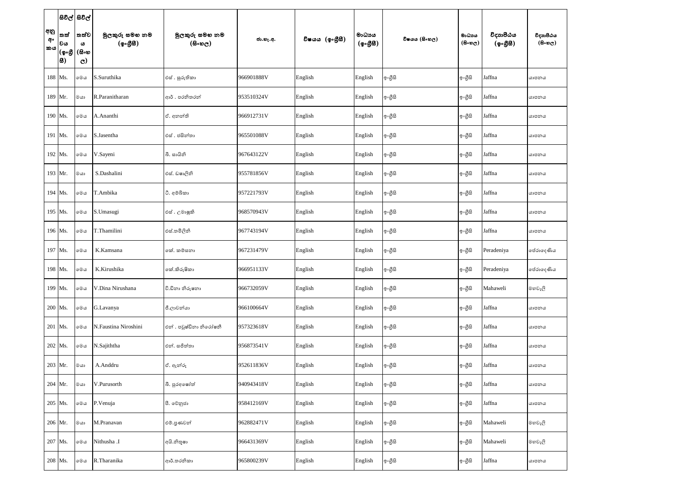|                 | සිවිල් සිවිල්                |                    |                            |                              |            |                 |                     |               |                     |                       |                                         |
|-----------------|------------------------------|--------------------|----------------------------|------------------------------|------------|-----------------|---------------------|---------------|---------------------|-----------------------|-----------------------------------------|
| අනු<br>අං<br>කය | තත්<br> වය                   | තත්ව<br>ය<br>(සිංහ | මූලකුරු සමහ නම<br>(ඉංගීසි) | මූලකුරු සමහ නම<br>$($ සිංහල) | ජා.හැ.අ.   | විෂයය (ඉංගීුසි) | මාධායය<br>(ඉංගුිසි) | විෂයය (සිංහල) | මාධාය<br>$($ සිංහල) | විදාහපීඨය<br>(ඉංගීසී) | විදාහපීඨය<br>$(B \circ \mathfrak{v}_C)$ |
|                 | (စွ <sub>ိ</sub> ပ္တိ<br> 8) | $\mathbf{C}$       |                            |                              |            |                 |                     |               |                     |                       |                                         |
|                 | 188 Ms.                      | මෙය                | S.Suruthika                | එස් . සුරුතිකා               | 966901888V | English         | English             | ඉංගුිසි       | ඉංගීසි              | Jaffna                | යාපනය                                   |
|                 | 189 Mr.                      | මයා                | R.Paranitharan             | ආර් . පරතිතරත්               | 953510324V | English         | English             | ඉංගුිසි       | ඉංගීසි              | Jaffna                | යාපනය                                   |
|                 | 190 Ms.                      | මෙය                | A.Ananthi                  | ඒ. අනන්ති                    | 966912731V | English         | English             | ඉංගුිසි       | ඉංගීසි              | Jaffna                | යාපනය                                   |
|                 | 191   Ms.                    | මෙය                | S.Jasentha                 | එස් . ජසින්තා                | 965501088V | English         | English             | ඉංගුිසි       | ඉංගීසි              | Jaffna                | යාපනය                                   |
|                 | 192 Ms.                      | මෙය                | V.Sayeni                   | බී. සායිනි                   | 967643122V | English         | English             | ඉංගීසි        | ඉංගුිසි             | Jaffna                | යාපනය                                   |
|                 | 193 Mr.                      | මයා                | S.Dashalini                | එස්. ඩෂාලිනි                 | 955781856V | English         | English             | ඉංගුිසි       | ඉංගීසි              | Jaffna                | යාපනය                                   |
|                 | 194 Ms.                      | මෙය                | T.Ambika                   | ථි. අමබිකා                   | 957221793V | English         | English             | ඉංගුිසි       | ඉංගීසි              | Jaffna                | යාපනය                                   |
|                 | 195   Ms.                    | මෙය                | S.Umasugi                  | එස් . උමාෂුකි                | 968570943V | English         | English             | ඉංගීසි        | ඉංගීසි              | Jaffna                | යාපනය                                   |
|                 | 196 Ms.                      | මෙය                | T.Thamilini                | එස්.තමිලිනි                  | 967743194V | English         | English             | ඉංගුිසි       | ඉංගුිසි             | Jaffna                | යාපනය                                   |
|                 | 197 Ms.                      | මෙය                | K.Kamsana                  | කේ. කම්සනා                   | 967231479V | English         | English             | ඉංගුිසි       | ඉංගීසි              | Peradeniya            | පේරාදෙණිය                               |
|                 | 198 Ms.                      | මෙය                | K.Kirushika                | කේ.කිරුෂිකා                  | 966951133V | English         | English             | ඉංගුිසි       | ඉංගීසි              | Peradeniya            | පේරාදෙණිය                               |
|                 | 199 Ms.                      | මෙය                | V.Dina Nirushana           | වි.ඩීනා නිරුෂනා              | 966732059V | English         | English             | ඉංගීසි        | ඉංගීසි              | Mahaweli              | මහවැලි                                  |
|                 | $200$ Ms.                    | මෙය                | G.Lavanya                  | ජී.ලාවන්යා                   | 966100664V | English         | English             | ඉංගීසි        | ඉංගුිසි             | Jaffna                | යාපනය                                   |
|                 | $201$ Ms.                    | මෙය                | N.Faustina Niroshini       | එන් . පවුෂ්ඩිනා නිරෝෂනී      | 957323618V | English         | English             | ඉංගුිසි       | ඉංගීසි              | Jaffna                | යාපනය                                   |
|                 | 202   Ms.                    | මෙය                | N.Sajiththa                | එන්. සජිත්තා                 | 956873541V | English         | English             | ඉංගීසි        | ඉංගීසි              | Jaffna                | යාපනය                                   |
|                 | $203$ Mr.                    | මයා                | A.Anddru                   | ඒ. ඇත්රූ                     | 952611836V | English         | English             | ඉංගුිසි       | ඉංගුිසි             | Jaffna                | යාපනය                                   |
|                 | $204$ Mr.                    | $@$ යා             | V.Purusorth                | බී. පුරඅෂෝත්                 | 940943418V | English         | English             | ඉංගීසි        | ඉංගුිසි             | Jaffna                | යාපනය                                   |
|                 | 205 Ms.                      | මෙය                | P.Venuja                   | පී. වෙනුජා                   | 958412169V | English         | English             | ඉංගීසි        | ඉංගීසි              | Jaffna                | යාපනය                                   |
|                 | $206$ Mr.                    | මයා                | M.Pranavan                 | එම්.පුණවන්                   | 962882471V | English         | English             | ඉංගීසි        | ඉංගුිසි             | Mahaweli              | මහවැලි                                  |
|                 | 207 Ms.                      | මෙය                | Nithusha .I                | අයි.නිතූෂා                   | 966431369V | English         | English             | ඉංගීසි        | ඉංගීසි              | Mahaweli              | මහවැලි                                  |
|                 | 208   Ms.                    | $\circ\circ\circ$  | R.Tharanika                | ආර්.තරනිකා                   | 965800239V | English         | English             | ඉංගුිසි       | ඉංගීසි              | Jaffna                | යාපනය                                   |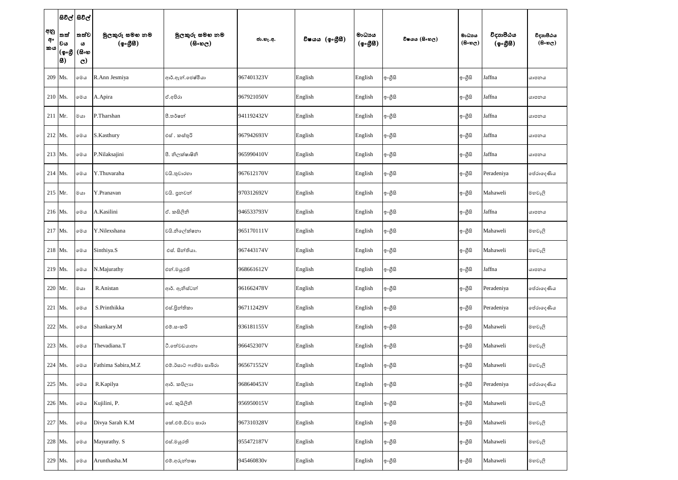|                 |                           | සිවිල්   සිවිල්                    |                             |                                              |            |                 |                    |               |                     |                       |                                   |
|-----------------|---------------------------|------------------------------------|-----------------------------|----------------------------------------------|------------|-----------------|--------------------|---------------|---------------------|-----------------------|-----------------------------------|
| අනු<br>අං<br>කය | තත්<br>වය<br>(ඉංගී<br> 8) | තත්ව<br>ය<br>(සිංහ<br>$\mathbf{C}$ | මූලකුරු සමහ නම<br>(ඉංගුිසි) | මූලකුරු සමහ නම<br>$(B \circ \mathfrak{v}_C)$ | ජා.හැ.අ.   | විෂයය (ඉංගීුසි) | මාධායය<br>(ඉංගීසි) | විෂයය (සිංහල) | මාධාය<br>$($ සිංහල) | විදාහපීඨය<br>(ඉංගීසී) | විදාහපීඨය<br>$(B \circ \omega_C)$ |
| 209 Ms.         |                           | මෙය                                | R.Ann Jesmiya               | ආර්.ඇන්.ජෙෂ්මියා                             | 967401323V | English         | English            | ඉංගුිසි       | ඉංගීසි              | Jaffna                | යාපනය                             |
| $210$ Ms.       |                           | මෙය                                | A.Apira                     | ඒ.අපිරා                                      | 967921050V | English         | English            | ඉංගුිසි       | ඉංගීසි              | Jaffna                | යාපනය                             |
| $211$ Mr.       |                           | මයා                                | P.Tharshan                  | පී.තර්ෂන්                                    | 941192432V | English         | English            | ඉංගුිසි       | ඉංගීසි              | Jaffna                | යාපනය                             |
| $212$ Ms.       |                           | මෙය                                | S.Kasthury                  | එස් . කස්තුරි                                | 967942693V | English         | English            | ඉංගුිසි       | ඉංගීසි              | Jaffna                | යාපනය                             |
| $213$ Ms.       |                           | මෙය                                | P.Nilaksajini               | පී. නිලක්ෂාෂිනි                              | 965990410V | English         | English            | ඉංගුිසි       | ඉංගීසි              | Jaffna                | යාපනය                             |
| $214$ Ms.       |                           | මෙය                                | Y.Thuvaraha                 | වයි.තුවාරහා                                  | 967612170V | English         | English            | ඉංගුිසි       | ඉංගීසි              | Peradeniya            | පේරාදෙණිය                         |
| $215$ Mr.       |                           | මයා                                | Y.Pranavan                  | වයි. පුනවන්                                  | 970312692V | English         | English            | ඉංගුිසි       | ඉංගීසි              | Mahaweli              | මහවැලි                            |
| $216$ Ms.       |                           | මෙය                                | A.Kasilini                  | ඒ. කසිලිනි                                   | 946533793V | English         | English            | ඉංගුිසි       | ඉංගීසි              | Jaffna                | යාපනය                             |
| $217$ Ms.       |                           | මෙය                                | Y.Nilexshana                | වයි.නිලේක්ෂනා                                | 965170111V | English         | English            | ඉංගුිසි       | ඉංගීසි              | Mahaweli              | මහවැලි                            |
| $218$ Ms.       |                           | මෙය                                | Sinthiya.S                  | එස්. සින්තියා.                               | 967443174V | English         | English            | ඉංගුිසි       | ඉංගීසි              | Mahaweli              | මහවැලි                            |
| $219$ Ms.       |                           | මෙය                                | N.Majurathy                 | එන්.මයුරති                                   | 968661612V | English         | English            | ඉංගුිසි       | ඉංගුිසි             | Jaffna                | යාපනය                             |
|                 | 220 Mr.                   | මයා                                | R.Anistan                   | ආර්. ඇනිස්ටන්                                | 961662478V | English         | English            | ඉංගුිසි       | ඉංගීසි              | Peradeniya            | පේරාදෙණිය                         |
| 221 Ms.         |                           | මෙය                                | S.Printhikka                | එස්.පිුන්තිකා                                | 967112429V | English         | English            | ඉංගුිසි       | ඉංගීසි              | Peradeniya            | පේරාදෙණිය                         |
| 222 Ms.         |                           | මෙය                                | Shankary.M                  | එම්.සංකරි                                    | 936181155V | English         | English            | ඉංගීසි        | ඉංගීසි              | Mahaweli              | මහවැලි                            |
|                 | 223 Ms.                   | මෙය                                | Thevadiana.T                | ටී.තේවඩයානා                                  | 966452307V | English         | English            | ඉංගීසි        | ඉංගීසි              | Mahaweli              | මහවැලි                            |
| 224 Ms.         |                           | මෙය                                | Fathima Sabira, M.Z         | එම්.ඊසාට් ෆාතිමා සාබිරා                      | 965671552V | English         | English            | ඉංගීසි        | ඉංගීසි              | Mahaweli              | මහවැලි                            |
| 225 Ms.         |                           | මෙය                                | R.Kapilya                   | ආර්. කපිලාා                                  | 968640453V | English         | English            | ඉංගීසි        | ඉංගීසි              | Peradeniya            | පේරාදෙණිය                         |
| 226 Ms.         |                           | මෙය                                | Kujilini, P.                | ජේ. කුයිලිනි                                 | 956950015V | English         | English            | ඉංගුිසි       | ඉංගීසි              | Mahaweli              | මහවැලි                            |
| 227 Ms.         |                           | මෙය                                | Divya Sarah K.M             | කේ.එම්.ඩිවාා සාරා                            | 967310328V | English         | English            | ඉංගීසි        | ඉංගීසි              | Mahaweli              | මහවැලි                            |
|                 | 228 Ms.                   | මෙය                                | Mayurathy. S                | එස්.මයුරති                                   | 955472187V | English         | English            | ඉංගීසි        | ඉංගීසි              | Mahaweli              | මහවැලි                            |
| 229 Ms.         |                           | මෙය                                | Arunthasha.M                | එම්.අරුන්තෂා                                 | 945460830v | English         | English            | ඉංගීසි        | ඉංගීසි              | Mahaweli              | මහවැලි                            |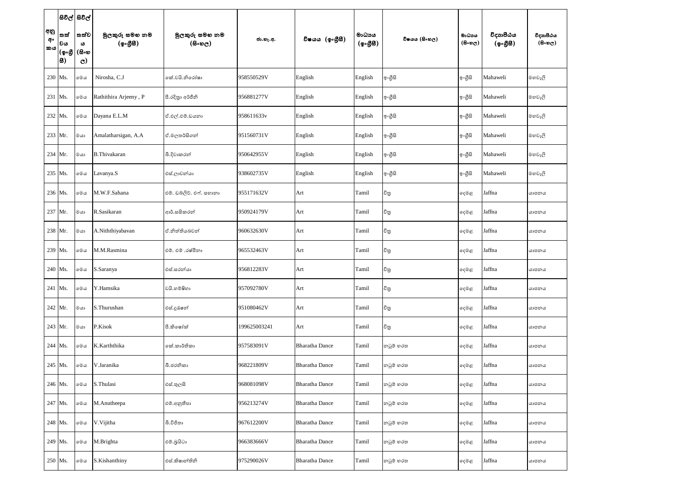|                 |                           | සිවිල් සිවිල්                      |                                         |                                              |              |                       |                     |               |                     |                       |                                   |
|-----------------|---------------------------|------------------------------------|-----------------------------------------|----------------------------------------------|--------------|-----------------------|---------------------|---------------|---------------------|-----------------------|-----------------------------------|
| අනු<br>අං<br>කය | තත්<br>වය<br>(ඉංගී<br> 8) | තත්ව<br>ය<br>(සිංහ<br>$\mathbf{C}$ | මුලකුරු සමහ නම<br>(ඉංග <del>ී</del> සි) | මුලකුරු සමහ නම<br>$(B \circ \mathfrak{v}_C)$ | ජා.හැ.අ.     | විෂයය (ඉංගුිසි)       | මාධායය<br>(ඉංගුිසි) | විෂයය (සිංහල) | මාධාය<br>$($ සිංහල) | විදාහපීඨය<br>(ඉංගීසී) | විදාහපීඨය<br>$(B \circ \omega_C)$ |
| 230 Ms.         |                           | මෙය                                | Nirosha, C.J                            | කේ.වයි.නිරෝෂා                                | 958550529V   | English               | English             | ඉංගුිසි       | ඉංගීසි              | Mahaweli              | මහවැලි                            |
| 231 Ms.         |                           | මෙය                                | Rathithira Arjeeny, P                   | පී.රදිනා අර්ජීනි                             | 956881277V   | English               | English             | ඉංගීසි        | ඉංගීසි              | Mahaweli              | මහවැලි                            |
| $232$ Ms.       |                           | මෙය                                | Dayana E.L.M                            | ඒ.එල්.එම්.ඩයනා                               | 958611633v   | English               | English             | ඉංගුිසි       | ඉංගීසි              | Mahaweli              | මහවැලි                            |
| 233 Mr.         |                           | මයා                                | Amalatharsigan, A.A                     | ඒ.මලතර්සිගන්                                 | 951560731V   | English               | English             | ඉංගුිසි       | ඉංගීසි              | Mahaweli              | මහවැලි                            |
| 234 Mr.         |                           | මයා                                | B.Thivakaran                            | බී.දිවාකරන්                                  | 950642955V   | English               | English             | ඉංගීසි        | ඉංගීසි              | Mahaweli              | මහවැලි                            |
| 235 Ms.         |                           | මෙය                                | Lavanya.S                               | එස්.ලාවන්යා                                  | 938602735V   | English               | English             | ඉංගුිසි       | ඉංගීසි              | Mahaweli              | මහවැලි                            |
| 236 Ms.         |                           | මෙය                                | M.W.F.Sahana                            | එම්. ඩබ්ලිව්. එෆ්. සහානා                     | 955171632V   | Art                   | Tamil               | චිනු          | දෙමළ                | Jaffna                | යාපනය                             |
| 237 Mr.         |                           | මයා                                | R.Sasikaran                             | ආර්.සසිකරන්                                  | 950924179V   | Art                   | Tamil               | විනු          | දෙමළ                | Jaffna                | යාපනය                             |
| 238 Mr.         |                           | මයා                                | A.Niththiyabavan                        | ඒ.නිත්තියබවත්                                | 960632630V   | Art                   | Tamil               | චිනු          | දෙමළ                | Jaffna                | යාපනය                             |
| 239 Ms.         |                           | මෙය                                | M.M.Rasmina                             | එම්. එම් .රෂ්මිනා                            | 965532463V   | Art                   | Tamil               | චිනු          | දෙමළ                | Jaffna                | යාපනය                             |
| $240$ Ms.       |                           | මෙය                                | S.Saranya                               | එස්.සරත්යා                                   | 956812283V   | Art                   | Tamil               | විනු          | දෙමළ                | Jaffna                | යාපනය                             |
| 241 Ms.         |                           | මෙය                                | Y.Hamsika                               | වයි.හම්ෂිහා                                  | 957092780V   | Art                   | Tamil               | චිතු          | දෙමළ                | Jaffna                | යාපනය                             |
| $242$ Mr.       |                           | මයා                                | S.Thurushan                             | එස්.දුරැෂන්                                  | 951080462V   | Art                   | Tamil               | විනු          | දෙමළ                | Jaffna                | යාපනය                             |
| 243 Mr.         |                           | මයා                                | P.Kisok                                 | පී.කිංෂා්ක්                                  | 199625003241 | Art                   | Tamil               | චිනු          | දෙමළ                | Jaffna                | යාපනය                             |
| $244$ Ms.       |                           | මෙය                                | K.Karththika                            | කේ.කාර්තිකා                                  | 957583091V   | <b>Bharatha Dance</b> | Tamil               | නටුම් හරත     | දෙමළ                | Jaffna                | යාපනය                             |
| 245 Ms.         |                           | මෙය                                | V.Jaranika                              | බී.ජරතිකා                                    | 968221809V   | <b>Bharatha Dance</b> | Tamil               | නටුම් හරත     | දෙමළ                | Jaffna                | යාපනය                             |
| 246 Ms.         |                           | මෙය                                | S.Thulasi                               | එස්.තුලසි                                    | 968081098V   | <b>Bharatha Dance</b> | Tamil               | නටුම් හරත     | දෙමළ                | Jaffna                | යාපනය                             |
| 247 Ms.         |                           | මෙය                                | M.Anutheepa                             | එම්.අනුතීපා                                  | 956213274V   | <b>Bharatha Dance</b> | Tamil               | නටුම් හරත     | දෙමළ                | Jaffna                | යාපනය                             |
| 248 Ms.         |                           | මෙය                                | V.Vijitha                               | බී.විජිතා                                    | 967612200V   | <b>Bharatha Dance</b> | Tamil               | නටුම් හරත     | දෙමළ                | Jaffna                | යාපනය                             |
| 249 Ms.         |                           | මෙය                                | M.Brighta                               | එම්.බුයිටා                                   | 966383666V   | <b>Bharatha Dance</b> | Tamil               | නටුම් හරත     | දෙමළ                | Jaffna                | යාපනය                             |
|                 | 250 Ms.                   | මෙය                                | S.Kishanthiny                           | එස්.කිෂාන්තිනි                               | 975290026V   | <b>Bharatha Dance</b> | Tamil               | නටුම් හරත     | දෙමළ                | Jaffna                | යාපනය                             |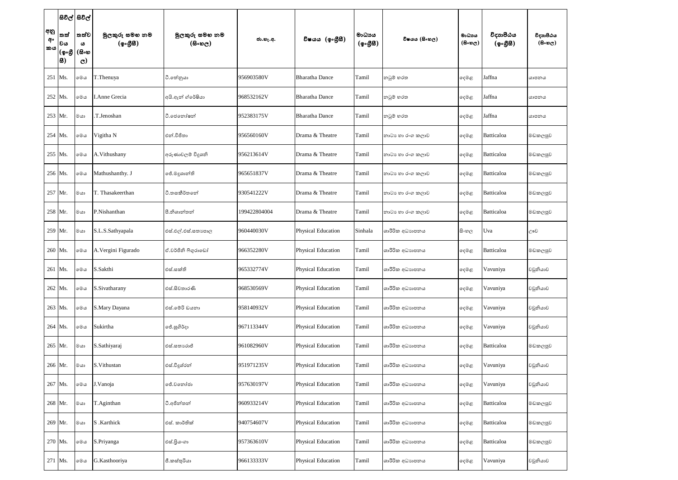|                 | සිවිල් සිවිල්                 |                                    |                            |                                                  |              |                           |                    |                  |                                     |                       |                                         |
|-----------------|-------------------------------|------------------------------------|----------------------------|--------------------------------------------------|--------------|---------------------------|--------------------|------------------|-------------------------------------|-----------------------|-----------------------------------------|
| අනු<br>අං<br>කය | තත්<br> වය<br> (စ့•စ္တ<br> 8) | තත්ව<br>ය<br>(සිංහ<br>$\mathbf{C}$ | මූලකුරු සමහ නම<br>(ඉංගීසි) | මූලකුරු සමහ නම<br>$(B \circ \circledcirc \circ)$ | ජා.හැ.අ.     | විෂයය (ඉංගීසී)            | මාධායය<br>(ඉංගීසී) | විෂයය (සිංහල)    | මාධාය<br>$(B \circ \mathfrak{v}_C)$ | විදාහපීඨය<br>(ඉංගීසී) | විදාහපීඨය<br>$(B \circ \mathfrak{v}_C)$ |
| 251 Ms.         |                               | මෙය                                | T.Thenuya                  | ථි.තේනුයා                                        | 956903580V   | <b>Bharatha Dance</b>     | Tamil              | නටුම් හරත        | දෙමළ                                | Jaffna                | යාපනය                                   |
| 252 Ms.         |                               | මෙය                                | <b>I.Anne Grecia</b>       | අයි.ඇන් ග්රේෂියා                                 | 968532162V   | <b>Bharatha Dance</b>     | Tamil              | නටුම් හරත        | දෙමළ                                | Jaffna                | යාපනය                                   |
| 253 Mr.         |                               | මයා                                | T.Jenoshan                 | ටී.ජෙනෝෂන්                                       | 952383175V   | <b>Bharatha Dance</b>     | Tamil              | නටුම් හරත        | දෙමළ                                | Jaffna                | යාපනය                                   |
|                 | $254$ Ms.                     | මෙය                                | Vigitha N                  | එන්.විජිතා                                       | 956560160V   | Drama & Theatre           | Tamil              | නාටා හා රංග කලාව | දෙමළ                                | Batticaloa            | මඩකලපුව                                 |
| 255 Ms.         |                               | මෙය                                | A.Vithushany               | අරුණාවලම් විදූශනි                                | 956213614V   | Drama & Theatre           | Tamil              | නාටා හා රංග කලාව | දෙමළ                                | Batticaloa            | මඩකලපුව                                 |
| 256 Ms.         |                               | මෙය                                | Mathushanthy. J            | ජේ.මදුශාන්ති                                     | 965651837V   | Drama & Theatre           | Tamil              | නාටා හා රංග කලාව | දෙමළ                                | Batticaloa            | මඩකලපුව                                 |
| 257 Mr.         |                               | මයා                                | T. Thasakeerthan           | ටී.තසකීර්තතේ                                     | 930541222V   | Drama & Theatre           | Tamil              | නාටා හා රංග කලාව | දෙමළ                                | Batticaloa            | මඩකලපුව                                 |
|                 | 258 Mr.                       | මයා                                | P.Nishanthan               | පී.නිශාන්තන්                                     | 199422804004 | Drama & Theatre           | Tamil              | නාටා හා රංග කලාව | දෙමළ                                | Batticaloa            | මඩකලපුව                                 |
|                 | 259 Mr.                       | $^{\circ}$ යා                      | S.L.S.Sathyapala           | එස්.එල්.එස්.සතාපොල                               | 960440030V   | Physical Education        | Sinhala            | ශාරීරික අධාහපනය  | සි∘හල                               | Uva                   | ඌව                                      |
| 260 Ms.         |                               | මෙය                                | A. Vergini Figurado        | ඒ.වර්ජිනි ෆිගුරාඩෝ                               | 966352280V   | Physical Education        | Tamil              | ශාරීරික අධාහපනය  | දෙමළ                                | Batticaloa            | මඩකලපුව                                 |
|                 | 261   Ms.                     | මෙය                                | S.Sakthi                   | එස්.සක්ති                                        | 965332774V   | Physical Education        | Tamil              | ශාරීරික අධාහපනය  | දෙමළ                                | Vavuniya              | වවුනියාව                                |
|                 | 262 Ms.                       | මෙය                                | S.Sivatharany              | එස්.සිවතාරණි                                     | 968530569V   | Physical Education        | Tamil              | ශාරීරික අධාහපනය  | දෙමළ                                | Vavuniya              | වවුනියාව                                |
|                 | 263 Ms.                       | මෙය                                | S.Mary Dayana              | එස්.මේරි ඩයනා                                    | 958140932V   | Physical Education        | Tamil              | ශාරීරික අධාහපනය  | දෙමළ                                | Vavuniya              | වවුනියාව                                |
|                 | 264 Ms.                       | මෙය                                | Sukirtha                   | ජේ.සුගිර්දා                                      | 967113344V   | Physical Education        | Tamil              | ශාරීරික අධාහපනය  | දෙමළ                                | Vavuniya              | වවුනියාව                                |
|                 | 265 Mr.                       | මයා                                | S.Sathiyaraj               | එස්.සතාාරාජ්                                     | 961082960V   | Physical Education        | Tamil              | ශාරීරික අධාහපනය  | දෙමළ                                | Batticaloa            | මඩකලපුව                                 |
|                 | 266 Mr.                       | මයා                                | S.Vithustan                | එස්.විදුශ්රන්                                    | 951971235V   | Physical Education        | Tamil              | ශාරීරික අධාහපනය  | දෙමළ                                | Vavuniya              | වවුනියාව                                |
|                 | 267 Ms.                       | මෙය                                | J.Vanoja                   | ජේ.වතෝජා                                         | 957630197V   | Physical Education        | Tamil              | ශාරීරික අධාහපනය  | දෙමළ                                | Vavuniya              | වවුනියාව                                |
|                 | 268 Mr.                       | $@$ යා                             | T.Aginthan                 | ටී.අජින්තන්                                      | 960933214V   | Physical Education        | Tamil              | ශාරීරික අධාහපනය  | දෙමළ                                | Batticaloa            | මඩකලපුව                                 |
|                 | 269 Mr.                       | මයා                                | S .Karthick                | එස්. කාර්තික්                                    | 940754607V   | <b>Physical Education</b> | Tamil              | ශාරීරික අධාහපනය  | දෙමළ                                | Batticaloa            | මඩකලපුව                                 |
|                 | 270 Ms.                       | මෙය                                | S.Priyanga                 | එස්.පියංගා                                       | 957363610V   | Physical Education        | Tamil              | ශාරීරික අධාහපනය  | දෙමළ                                | Batticaloa            | මඩකලපුව                                 |
|                 | 271 Ms.                       | මෙය                                | G.Kasthooriya              | ජී.කස්තුරියා                                     | 966133333V   | Physical Education        | Tamil              | ශාරීරික අධාහපනය  | දෙමළ                                | Vavuniya              | වවුනියාව                                |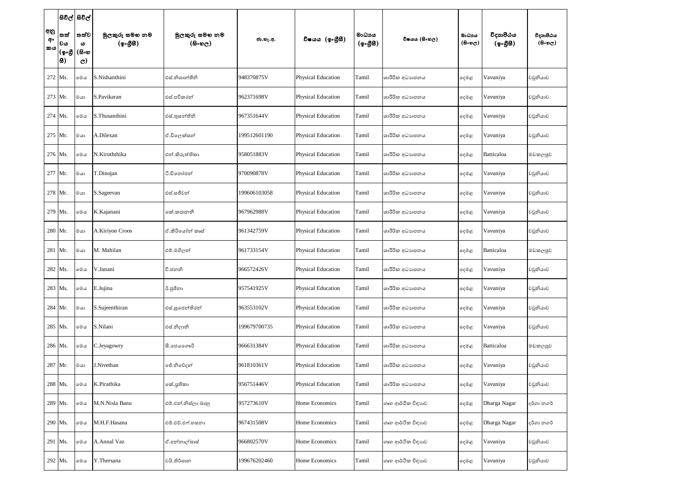|                 |                            | සිවිල් සිවිල්                      |                                                          |                           |              |                    |                    |                   |                                     |                                                     |                                      |
|-----------------|----------------------------|------------------------------------|----------------------------------------------------------|---------------------------|--------------|--------------------|--------------------|-------------------|-------------------------------------|-----------------------------------------------------|--------------------------------------|
| අනු<br>අං<br>කය | තත්<br>වය<br>(ඉංගී<br> 83) | තත්ව<br>ය<br>(සිංහ<br>$\mathbf{C}$ | මුලකුරු සමහ නම<br>$(\phi \circ \mathcal{B} \mathcal{B})$ | මුලකුරු සමහ නම<br>(සිංහල) | ජා.හැ.අ.     | විෂයය (ඉංගීුසි)    | මාධායය<br>(ඉංගීසී) | විෂයය (සිංහල)     | මාධාය<br>$(B \circ \mathfrak{v}_C)$ | විදාහපීඨය<br>$(\phi \circ \mathcal{B} \mathcal{B})$ | විදාහපීඨය<br>$(8 \circ \circ \circ)$ |
| 272 Ms.         |                            | මෙය                                | S.Nishanthini                                            | එස්.නිශාන්තීනි            | 948370875V   | Physical Education | Tamil              | ශාරීරික අධාහපනය   | දෙමළ                                | Vavuniya                                            | වවුනියාව                             |
| 273 Mr.         |                            | මයා                                | S.Pavikaran                                              | එස්.පවිකරන්               | 962371698V   | Physical Education | Tamil              | ශාරීරික අධාහපනය   | දෙමළ                                | Vavuniya                                            | වවුනියාව                             |
| $274$ Ms.       |                            | මෙය                                | S.Thusanthini                                            | එස්.තූසන්තිනි             | 967351644V   | Physical Education | Tamil              | ශාරීරික අධාහපනය   | දෙමළ                                | Vavuniya                                            | වවුනියාව                             |
| 275 Mr.         |                            | මයා                                | A.Dilexan                                                | ඒ.ඩිලෙක්සන්               | 199512601190 | Physical Education | Tamil              | ශාරීරික අධාහපනය   | දෙමළ                                | Vavuniya                                            | වවුනියාව                             |
| 276 Ms.         |                            | මෙය                                | N.Kiruththika                                            | එන්.කිරුත්තිකා            | 958051883V   | Physical Education | Tamil              | ශාරීරික අධාහපනය   | දෙමළ                                | Batticaloa                                          | මඩකලපුව                              |
| 277 Mr.         |                            | මයා                                | T.Dinojan                                                | ටී.ඩිතෝජන්                | 970090878V   | Physical Education | Tamil              | ශාරීරික අධාහපනය   | දෙමළ                                | Vavuniya                                            | වවුනියාව                             |
| 278 Mr.         |                            | මයා                                | S.Sageevan                                               | එස්.සජීවන්                | 199606103058 | Physical Education | Tamil              | ශාරීරික අධාහපනය   | දෙමළ                                | Vavuniya                                            | වවුනියාව                             |
| 279 Ms.         |                            | මෙය                                | K.Kajanani                                               | කේ.කජානනී                 | 967962988V   | Physical Education | Tamil              | ශාරීරික අධාහපනය   | දෙමළ                                | Vavuniya                                            | වවුනියාව                             |
|                 | 280 Mr.                    | මයා                                | A.Kiriyon Croos                                          | ඒ.කිරියෝන් කෘස්           | 961342759V   | Physical Education | Tamil              | ශාරීරික අධාහපනය   | දෙමළ                                | Vavuniya                                            | වවුනියාව                             |
|                 | 281 Mr.                    | මයා                                | M. Mahilan                                               | එම්.මගිලන්                | 961733154V   | Physical Education | Tamil              | ශාරීරික අධාහපනය   | දෙමළ                                | Batticaloa                                          | මඩකලපුව                              |
|                 | 282 Ms.                    | මෙය                                | V.Janani                                                 | වී.ජනනි                   | 966572426V   | Physical Education | Tamil              | ශාරීරික අධාහපනය   | දෙමළ                                | Vavuniya                                            | වවුනියාව                             |
|                 | 283 Ms.                    | ාමග                                | E.Jujina                                                 | ඊ.ජූජිනා                  | 957541925V   | Physical Education | Tamil              | ශාරීරික අධාහපනය   | දෙමළ                                | Vavuniya                                            | වවුනියාව                             |
|                 | 284 Mr.                    | මයා                                | S.Sujeenthiran                                           | එස්.සුජෙන්තිරන්           | 963553102V   | Physical Education | Tamil              | ශාරීරික අධාහපනය   | දෙමළ                                | Vavuniya                                            | වවුනියාව                             |
|                 | 285 Ms.                    | මෙය                                | S.Nilani                                                 | එස්.නිලානි                | 199679700735 | Physical Education | Tamil              | ශාරීරික අධාහපනය   | දෙමළ                                | Vavuniya                                            | වවුනියාව                             |
|                 | 286 Ms.                    | මෙය                                | C.Jeyagowry                                              | සී.ජෙයගෞරි                | 966631384V   | Physical Education | Tamil              | ශාරීරික අධාහපනය   | දෙමළ                                | Batticaloa                                          | මඩකලපුව                              |
|                 | 287 Mr.                    | මයා                                | J.Nivethan                                               | ජේ.නිවේදන්                | 961810361V   | Physical Education | Tamil              | ශාරීරික අධාහපනය   | දෙමළ                                | Vavuniya                                            | වවුනියාව                             |
|                 | 288 Ms.                    | මෙය                                | K.Pirathika                                              | කේ.පුතිකා                 | 956751446V   | Physical Education | Tamil              | ශාරීරික අධාහපනය   | දෙමළ                                | Vavuniya                                            | වවුනියාව                             |
|                 | 289 Ms.                    | මෙය                                | M.N.Nisla Banu                                           | එම්.එන්.නිස්ලා බානු       | 957273610V   | Home Economics     | Tamil              | ගෘහ ආර්ථික විඳාහව | දෙමළ                                | Dharga Nagar                                        | දර්ගා නගර්                           |
|                 | 290 Ms.                    | මෙය                                | M.H.F.Hasana                                             | එම්.එච්.එෆ්.හසනා          | 967431508V   | Home Economics     | Tamil              | ගෘහ ආර්ථික විදාහව | දෙමළ                                | Dharga Nagar                                        | දර්ගා නගර්                           |
|                 | 291 Ms.                    | මෙය                                | A.Annal Vaz                                              | ඒ.අන්නාල්බාස්             | 966802570V   | Home Economics     | Tamil              | ගෘහ ආර්ථික විදාහව | දෙමළ                                | Vavuniya                                            | වවුනියාව                             |
|                 | 292 Ms.                    | මෙය                                | Y.Thersana                                               | වයි. තිර්ශාන              | 199676202460 | Home Economics     | Tamil              | ගෘහ ආර්ථික විදාහව | දෙමළ                                | Vavuniya                                            | වවුනියාව                             |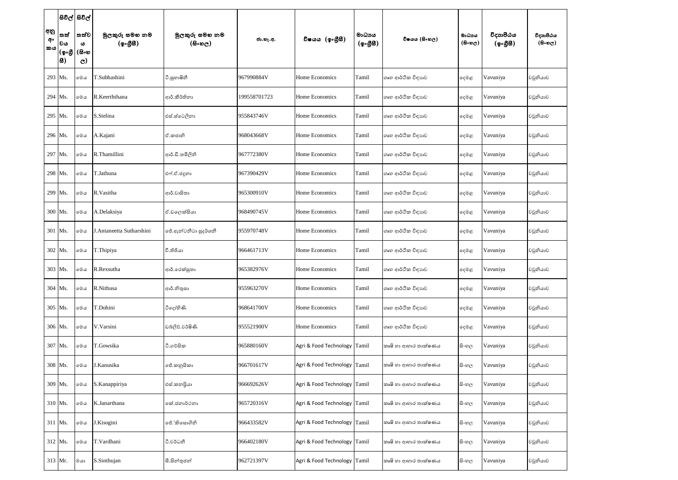|                 |                            | සිවිල් සිවිල්                        |                            |                           |              |                              |                    |                      |                               |                       |                                         |
|-----------------|----------------------------|--------------------------------------|----------------------------|---------------------------|--------------|------------------------------|--------------------|----------------------|-------------------------------|-----------------------|-----------------------------------------|
| අනු<br>අං<br>කය | තත්<br>වය<br>(ඉංගී<br> සි) | ් තත්ව<br>ω<br>(සිංහ<br>$\mathbf{C}$ | මුලකුරු සමහ නම<br>(ඉංගීසි) | මුලකුරු සමහ නම<br>(සිංහල) | ජා.හැ.අ.     | විෂයය (ඉංගීසී)               | මාධායය<br>(ඉංගීසී) | විෂයය (සිංහල)        | මාධාය<br>$(B \circ \omega_C)$ | විදාහපීඨය<br>(ඉංගීසී) | විදාහපීඨය<br>$(B \circ \mathfrak{v}_C)$ |
| 293 Ms.         |                            | මෙය                                  | T.Subhashini               | ටී.සූහාෂිනී               | 967990884V   | Home Economics               | Tamil              | ගෘහ ආර්ථික විඳාහව    | දෙමළ                          | Vavuniya              | වවුනියාව                                |
| 294 Ms.         |                            | මෙය                                  | R.Keerththana              | ආර්.කීර්තිනා              | 199558701723 | Home Economics               | Tamil              | ගෘහ ආර්ථික විඳාහව    | දෙමළ                          | Vavuniya              | වවුනියාව                                |
| 295 Ms.         |                            | මෙය                                  | S.Stelina                  | එස්.ස්ටෙලිනා              | 955843746V   | Home Economics               | Tamil              | ගෘහ ආර්ථික විඳාහව    | දෙමළ                          | Vavuniya              | වවුනියාව                                |
| 296 Ms.         |                            | මෙය                                  | A.Kajani                   | ඒ.කජානි                   | 968043668V   | Home Economics               | Tamil              | ගෘහ ආර්ථික විදාහව    | දෙමළ                          | Vavuniya              | වවුනියාව                                |
| 297 Ms.         |                            | මෙය                                  | R.Thamillini               | ආර්.ඩී.තමිලිනි            | 967772380V   | Home Economics               | Tamil              | ගෘහ ආර්ථික විඳාහව    | දෙමළ                          | Vavuniya              | වවුනියාව                                |
| 298 Ms.         |                            | මෙය                                  | T.Jathuna                  | එෆ්.ඒ.ජදූනා               | 967390429V   | Home Economics               | Tamil              | ගෘහ ආර්ථික විඳාහව    | දෙමළ                          | Vavuniya              | වවුනියාව                                |
| 299 Ms.         |                            | මෙය                                  | R.Vasitha                  | ආර්.වාසිතා                | 965300910V   | Home Economics               | Tamil              | ගෘහ ආර්ථික විඳාහව    | දෙමළ                          | Vavuniya              | වවුනියාව                                |
| 300 Ms.         |                            | මෙය                                  | A.Delaksiya                | ඒ.ඩලෙක්සියා               | 968490745V   | Home Economics               | Tamil              | ගෘහ ආර්ථික විඳාහව    | දෙමළ                          | Vavuniya              | වවුනියාව                                |
| 301 Ms.         |                            | මෙය                                  | J.Antaneetta Sutharshini   | ජේ.ඇත්ටනීටා සුදර්ශනී      | 955970748V   | Home Economics               | Tamil              | ගෘහ ආර්ථික විදාහව    | දෙමළ                          | Vavuniya              | වවුනියාව                                |
| $302$ Ms.       |                            | මෙය                                  | T.Thipiya                  | වී.තිජියා                 | 966461713V   | Home Economics               | Tamil              | ගෘහ ආර්ථික විදාහව    | දෙමළ                          | Vavuniya              | වවුනියාව                                |
| 303 Ms.         |                            | මෙය                                  | R.Rexsutha                 | ආර්.රෙක්සුතා              | 965382976V   | Home Economics               | Tamil              | ගෘහ ආර්ථික විදාහව    | දෙමළ                          | Vavuniya              | වවුනියාව                                |
| 304 Ms.         |                            | මෙය                                  | R.Nithusa                  | ආර්.නිතුසා                | 955963270V   | Home Economics               | Tamil              | ගෘහ ආර්ථික විඳාහව    | දෙමළ                          | Vavuniya              | වවුනියාව                                |
| 305 Ms.         |                            | මෙය                                  | T.Dohini                   | ටිදෝහිණි                  | 968641700V   | Home Economics               | Tamil              | ගෘහ ආර්ථික විදාහව    | දෙමළ                          | Vavuniya              | වවුනියාව                                |
| 306 Ms.         |                            | මෙය                                  | V.Varsini                  | ඩබලිව්.වර්ෂිණි            | 955521900V   | Home Economics               | Tamil              | ගෘහ ආර්ථික විඳාහව    | දෙමළ                          | Vavuniya              | වවුනියාව                                |
| 307 Ms.         |                            | මෙය                                  | T.Gowsika                  | ථි.ගව්සික                 | 965880160V   | Agri & Food Technology Tamil |                    | කෘෂි හා ආහාර තාක්ෂණය | සිංහල                         | Vavuniya              | වවුනියාව                                |
| 308 Ms.         |                            | මෙය                                  | J.Kanusika                 | ජේ.කනුසිකා                | 966701617V   | Agri & Food Technology       | Tamil              | කෘෂි හා ආහාර තාක්ෂණය | සි∘හල                         | Vavuniya              | වවුනියාව                                |
| 309 Ms.         |                            | මෙය                                  | S.Kanappiriya              | එස්.කනපියා                | 966692626V   | Agri & Food Technology       | Tamil              | කෘෂි හා ආහාර තාක්ෂණය | සි∘හල                         | Vavuniya              | වවුනියාව                                |
| $310$ Ms.       |                            | මෙය                                  | K.Janarthana               | කේ.ජනාර්ථනා               | 965720316V   | Agri & Food Technology Tamil |                    | කෘෂි හා ආහාර තාක්ෂණය | සි∘හල                         | Vavuniya              | වවුනියාව                                |
| $311$ Ms.       |                            | මෙය                                  | J.Kisogini                 | ජේ.'කිසොගිනි              | 966433582V   | Agri & Food Technology       | Tamil              | කෘෂි හා ආහාර තාක්ෂණය | සි∘හල                         | Vavuniya              | වවුනියාව                                |
| 312 Ms.         |                            | මෙය                                  | T.Vardhani                 | ථි.වර්ධනී                 | 966402180V   | Agri & Food Technology Tamil |                    | කෘෂි හා ආහාර තාක්ෂණය | සි∘හල                         | Vavuniya              | වවුනියාව                                |
| 313 Mr.         |                            | මයා                                  | S.Sinthujan                | සී.සින්තුජන්              | 962721397V   | Agri & Food Technology       | Tamil              | කෘෂි හා ආහාර තාක්ෂණය | සි∘හල                         | Vavuniya              | වවුනියාව                                |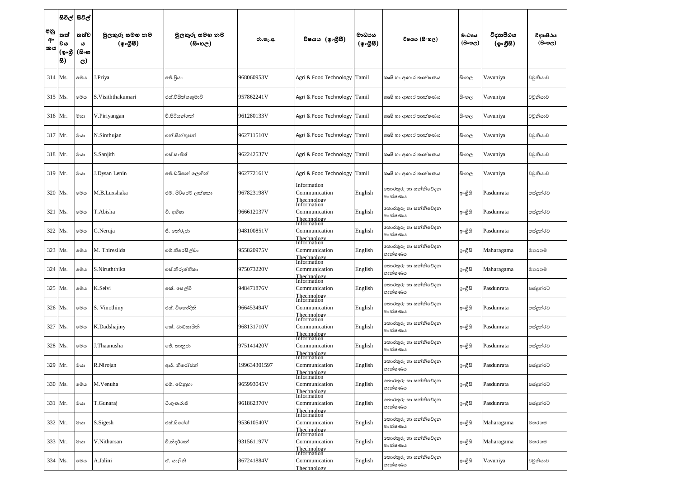|                 |                            | සිවිල් සිවිල්                      |                                                          |                         |              |                                                            |                    |                                 |                                |                                                     |                                   |
|-----------------|----------------------------|------------------------------------|----------------------------------------------------------|-------------------------|--------------|------------------------------------------------------------|--------------------|---------------------------------|--------------------------------|-----------------------------------------------------|-----------------------------------|
| අනු<br>අං<br>කය | තත්<br>වය<br>(ඉංගී<br> සි) | තත්ව<br>ය<br>(සිංහ<br>$\mathbf{C}$ | මුලකුරු සමහ නම<br>$(\phi \circ \mathcal{B} \mathcal{B})$ | මුලකුරු සමහ නම<br>(5.5) | ජා.හැ.අ.     | විෂයය (ඉංගීසී)                                             | මාධායය<br>(ඉංගීසී) | විෂයය (සිංහල)                   | මාධාපය<br>$(B \circ \omega_C)$ | විදාහපීඨය<br>$(\phi \circ \mathcal{B} \mathcal{B})$ | විදාහපීඨය<br>$(B \circ \omega_C)$ |
| $314$ Ms.       |                            | මෙය                                | Priya                                                    | ජේ.ජියා                 | 968060953V   | Agri & Food Technology                                     | Tamil              | කෘෂි හා ආහාර තාක්ෂණය            | සි∘හල                          | Vavuniya                                            | වවුනියාව                          |
| $315$ Ms.       |                            | මෙය                                | S. Visiththakumari                                       | එස්.විසිත්තකුමාරි       | 957862241V   | Agri & Food Technology                                     | Tamil              | කෘෂි හා ආහාර තාක්ෂණය            | සි∘හල                          | Vavuniya                                            | වවුනියාව                          |
| 316 Mr.         |                            | මයා                                | V.Piriyangan                                             | වී.පිරියන්ගන්           | 961280133V   | Agri & Food Technology                                     | Tamil              | කෘෂි හා ආහාර තාක්ෂණය            | සි∘හල                          | Vavuniya                                            | වවුනියාව                          |
| 317 Mr.         |                            | මයා                                | N.Sinthujan                                              | එන්.සින්තුජන්           | 962711510V   | Agri & Food Technology                                     | Tamil              | කෘෂි හා ආහාර තාක්ෂණය            | සි∘හල                          | Vavuniya                                            | වවුනියාව                          |
| $318$ Mr.       |                            | මයා                                | S.Sanjith                                                | එස්.සංජිත්              | 962242537V   | Agri & Food Technology                                     | Tamil              | කෘෂි හා ආහාර තාක්ෂණය            | සි∘හල                          | Vavuniya                                            | වවුනියාව                          |
| $319$ Mr.       |                            | මයා                                | J.Dysan Lenin                                            | ජේ.ඩයිසන් ලෙනින්        | 962772161V   | Agri & Food Technology                                     | Tamil              | කෘෂි හා ආහාර තාක්ෂණය            | සි∘හල                          | Vavuniya                                            | වවුනියාව                          |
| 320 Ms.         |                            | මෙය                                | M.B.Luxshaka                                             | එම්. පිරිජෙට් ලක්ෂකා    | 967823198V   | Information<br>Communication<br>Thechnology<br>Information | English            | තොරතුරු හා සන්නිවේදන<br>තාක්ෂණය | ඉ∘ගුිසි                        | Pasdunrata                                          | පස්දුන්රට                         |
| $321$ Ms.       |                            | මෙය                                | T.Abisha                                                 | ටී. අභීෂා               | 966612037V   | Communication<br>Thechnology                               | English            | තොරතුරු හා සන්නිවේදන<br>තාක්ෂණය | ඉංගීසි                         | Pasdunrata                                          | පස්දුන්රට                         |
| $322$ Ms.       |                            | මෙය                                | G.Neruja                                                 | ජී. තේරූජා              | 948100851V   | Information<br>Communication<br>Thechnology                | English            | තොරතුරු හා සන්නිවේදන<br>තාක්ෂණය | ඉ∘ගුිසි                        | Pasdunrata                                          | පස්දූන්රට                         |
| 323 Ms.         |                            | මෙය                                | M. Thiresilda                                            | එම්.තිරෙසිල්ඩා          | 955820975V   | Information<br>Communication<br>Thechnology<br>Information | English            | තොරතුරු හා සන්නිවේදන<br>තාක්ෂණය | ඉංගීසි                         | Maharagama                                          | මහරගම                             |
| $324$ Ms.       |                            | මෙය                                | S.Niruththika                                            | එස්.නිරුත්තිකා          | 975073220V   | Communication<br>Thechnology                               | English            | තොරතුරු හා සන්නිවේදන<br>තාක්ෂණය | ඉංගීසි                         | Maharagama                                          | මහරගම                             |
| 325 Ms.         |                            | ාමග                                | K.Selvi                                                  | කේ. සෙල්වි              | 948471876V   | Information<br>Communication<br>Thechnology<br>Information | English            | තොරතුරු හා සන්නිවේදන<br>තාක්ෂණය | ඉ∘ගුිසි                        | Pasdunrata                                          | පස්දුන්රට                         |
|                 | 326 Ms.                    | මෙය                                | S. Vinothiny                                             | එස්. විනෝදිනි           | 966453494V   | Communication<br>Thechnology                               | English            | තොරතුරු හා සන්නිවේදන<br>තාක්ෂණය | ඉ∘ගුිසි                        | Pasdunrata                                          | පස්දුන්රට                         |
| 327 Ms.         |                            | මෙය                                | K.Dadshajiny                                             | කේ. ඩාඩ්සායිනි          | 968131710V   | Information<br>Communication<br>Thechnology                | English            | තොරතුරු හා සන්නිවේදන<br>තාක්ෂණය | ඉ∘ගුිසි                        | Pasdunrata                                          | පස්දුන්රට                         |
| 328 Ms.         |                            | මෙය                                | J.Thaanusha                                              | ජේ. තානුජා              | 975141420V   | Information<br>Communication<br>Thechnology<br>Information | English            | තොරතුරු හා සන්නිවේදන<br>තාක්ෂණය | ඉංගීසි                         | Pasdunrata                                          | පස්දුන්රට                         |
| 329 Mr.         |                            | මයා                                | R.Nirojan                                                | ආර්. නිරෝජන්            | 199634301597 | Communication<br>Thechnology                               | English            | තොරතුරු හා සන්නිවේදන<br>තාක්ෂණය | ඉ∘ගුිසි                        | Pasdunrata                                          | පස්දුන්රට                         |
| 330 Ms.         |                            | මෙය                                | M.Venuha                                                 | එම්. වේනුහා             | 965993045V   | Information<br>Communication<br>Thechnology<br>Information | English            | තොරතුරු හා සන්නිවේදන<br>තාක්ෂණය | ඉ∘ගීුසි                        | Pasdunrata                                          | පස්දුන්රට                         |
| 331 Mr.         |                            | මයා                                | T.Gunaraj                                                | ටී.ගුණරාජ්              | 961862370V   | Communication<br>Thechnology<br>Information                | English            | තොරතුරු හා සන්නිවේදන<br>තාක්ෂණය | ඉ∘ගුිසි                        | Pasdunrata                                          | පස්දුන්රට                         |
| 332 Mr.         |                            | මයා                                | S.Sigesh                                                 | එස්.සිගේශ්              | 953610540V   | Communication<br>Thechnology                               | English            | තොරතුරු හා සන්නිවේදන<br>තාක්ෂණය | ඉ∘ගුිසි                        | Maharagama                                          | මහරගම                             |
|                 | 333 Mr.                    | මයා                                | V.Nitharsan                                              | වී.නිදර්ශන්             | 931561197V   | Information<br>Communication<br>Thechnology<br>Information | English            | තොරතුරු හා සන්නිවේදන<br>තාක්ෂණය | ඉ∘ගුිසි                        | Maharagama                                          | මහරගම                             |
|                 | 334 Ms.                    | මෙය                                | A.Jalini                                                 | ඒ. යාලිනි               | 867241884V   | Communication<br>Thechnology                               | English            | තොරතුරු හා සන්නිවේදන<br>තාක්ෂණය | ඉ∘ගුිසි                        | Vavuniya                                            | වවුනියාව                          |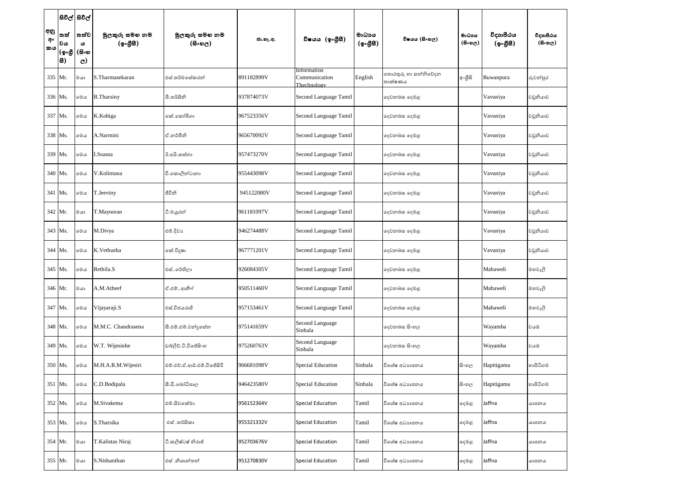|                 |                           | සිවිල් සිවිල්                      |                             |                            |            |                                             |                    |                                 |                                     |                       |                                   |
|-----------------|---------------------------|------------------------------------|-----------------------------|----------------------------|------------|---------------------------------------------|--------------------|---------------------------------|-------------------------------------|-----------------------|-----------------------------------|
| අනු<br>අං<br>කය | තත්<br>වය<br>(ඉංගී<br> 8) | තත්ව<br>ω<br>(සිංහ<br>$\mathbf{C}$ | මූලකුරු සමහ නම<br>(ඉංගුිසි) | මුලකුරු සමහ නම<br>(සිංහල)  | ජා.හැ.අ.   | විෂයය (ඉංගීසී)                              | මාධායය<br>(ඉංගීසි) | විෂයය (සිංහල)                   | මාධාය<br>$(B \circ \mathfrak{v}_C)$ | විදාහපීඨය<br>(ඉංගීසී) | විදාහපීඨය<br>$(B \circ \omega_C)$ |
| 335 Mr.         |                           | මයා                                | S.Tharmasekaran             | එස්.තර්මසේකරන්             | 891182899V | Information<br>Communication<br>Thechnology | English            | තොරතුරු හා සන්නිවේදන<br>තාක්ෂණය | ඉංගීසි                              | Ruwanpura             | රුවන්පුර                          |
| 336 Ms.         |                           | මෙය                                | <b>B.</b> Tharsiny          | බී.තර්සිනි                 | 937874073V | Second Language Tamil                       |                    | දෙවනබස දෙමළ                     |                                     | Vavuniya              | වවුනියාව                          |
| 337 Ms.         |                           | මෙය                                | K.Kobiga                    | කේ.කෝබිගා                  | 967523356V | Second Language Tamil                       |                    | දෙවනබස දෙමළ                     |                                     | Vavuniya              | වවුනියාව                          |
| 338 Ms.         |                           | මෙය                                | A.Narmini                   | ඒ.නර්මිනි                  | 965670092V | Second Language Tamil                       |                    | දෙවනබස දෙමළ                     |                                     | Vavuniya              | වවුනියාව                          |
| 339 Ms.         |                           | මෙය                                | I.Ssasna                    | ඊ.අයි.සස්තා                | 957473270V | Second Language Tamil                       |                    | දෙවනබස දෙමළ                     |                                     | Vavuniya              | වවුනියාව                          |
| 340 Ms.         |                           | මෙය                                | V.Kolintana                 | වී.කොලින්ටානා              | 955443098V | Second Language Tamil                       |                    | දෙවනබස දෙමළ                     |                                     | Vavuniya              | වවුනියාව                          |
| 341 Ms.         |                           | මෙය                                | T.Jeeviny                   | ජීවිනි                     | 945122080V | Second Language Tamil                       |                    | දෙවනබස දෙමළ                     |                                     | Vavuniya              | වවුනියාව                          |
| $342$ Mr.       |                           | මයා                                | T.Mayooran                  | ටී.මයුරන්                  | 961181097V | Second Language Tamil                       |                    | දෙවනබස දෙමළ                     |                                     | Vavuniya              | වවුනියාව                          |
| 343 Ms.         |                           | මෙය                                | M.Divya                     | එම්.දිවා                   | 946274488V | Second Language Tamil                       |                    | දෙවනබස දෙමළ                     |                                     | Vavuniya              | වවුනියාව                          |
| $344$ Ms.       |                           | මෙය                                | K.Vethusha                  | කේ.විදුෂා                  | 967771201V | Second Language Tamil                       |                    | දෙවනබස දෙමළ                     |                                     | Vavuniya              | වවුනියාව                          |
|                 | 345 Ms.                   | මෙය                                | Rethila.S                   | එස්රේතිලා                  | 926084305V | Second Language Tamil                       |                    | දෙවනබස දෙමළ                     |                                     | Mahaweli              | මහවැලි                            |
|                 | 346 Mr.                   | මයා                                | A.M.Atheef                  | ඒ.එම්ආතීෆ්                 | 950511460V | Second Language Tamil                       |                    | දෙවනබස දෙමළ                     |                                     | Mahaweli              | මහවැලි                            |
| 347 Ms.         |                           | ාමග                                | Vijayaraji.S                | එස්.විජයරාජි               | 957153461V | Second Language Tamil                       |                    | දෙවනබස දෙමළ                     |                                     | Mahaweli              | මහවැලි                            |
| 348 Ms.         |                           | මෙය                                | M.M.C. Chandrasena          | සී.එම්.එම්.චන්දසේන         | 975141659V | Second Language<br>Sinhala                  |                    | දෙවනබස සිංහල                    |                                     | Wayamba               | වයඹ                               |
|                 | 349 Ms.                   | මෙය                                | W.T. Wijesinhe              | ඩබ්ලිව්.ටී.විජේසිංහ        | 975260763V | Second Language<br>Sinhala                  |                    | දෙවනබස සිංහල                    |                                     | Wayamba               | වයඹ                               |
|                 | 350 Ms.                   | මෙය                                | M.H.A.R.M.Wijesiri          | එම්.එච්.ඒ.ආර්.එම්.විජේසිරි | 966681098V | <b>Special Education</b>                    | Sinhala            | විශේෂ අධාහපනය                   | සි∘හල                               | Hapitigama            | හාපිටිගම                          |
| 351 Ms.         |                           | මෙය                                | C.D.Bodipala                | සී.ඩී.බෝධිපාල              | 946423580V | Special Education                           | Sinhala            | විශේෂ අධාහපනය                   | සි∘හල                               | Hapitigama            | හාපිටිගම                          |
|                 | $352$ Ms.                 | ාමග                                | M.Sivakema                  | එම්.සිවකේමා                | 956152364V | <b>Special Education</b>                    | Tamil              | විශේෂ අධාහපනය                   | දෙමළ                                | Jaffna                | යාපනය                             |
| 353 Ms.         |                           | මෙය                                | S.Tharsika                  | එස් .තර්සිකා               | 955321332V | Special Education                           | Tamil              | විශේෂ අධාහපනය                   | දෙමළ                                | Jaffna                | යාපනය                             |
|                 | 354 Mr.                   | මයා                                | T.Kalistas Niraj            | ටී.කලිෂ්ටෂ් නිරාජ්         | 952703676V | <b>Special Education</b>                    | Tamil              | විශේෂ අධාහපනය                   | දෙමළ                                | Jaffna                | යාපනය                             |
|                 | 355 Mr.                   | ගය                                 | S.Nishanthan                | එස් .නිශාන්තන්             | 951270830V | <b>Special Education</b>                    | Tamil              | විශේෂ අධාහපනය                   | දෙමළ                                | Jaffna                | යාපනය                             |